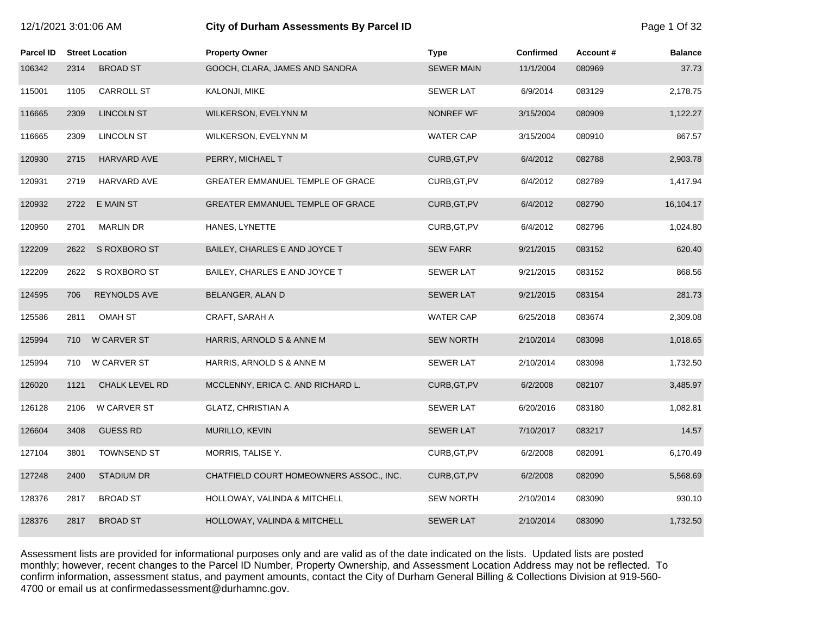| 12/1/2021 3:01:06 AM |  |
|----------------------|--|
|----------------------|--|

# **12/21/2021 3:01:07:00 City of Durham Assessments By Parcel ID** Page 1 Of 32

| Parcel ID |      | <b>Street Location</b> | <b>Property Owner</b>                   | <b>Type</b>       | <b>Confirmed</b> | <b>Account #</b> | <b>Balance</b> |
|-----------|------|------------------------|-----------------------------------------|-------------------|------------------|------------------|----------------|
| 106342    | 2314 | <b>BROAD ST</b>        | GOOCH, CLARA, JAMES AND SANDRA          | <b>SEWER MAIN</b> | 11/1/2004        | 080969           | 37.73          |
| 115001    | 1105 | <b>CARROLL ST</b>      | KALONJI, MIKE                           | <b>SEWER LAT</b>  | 6/9/2014         | 083129           | 2,178.75       |
| 116665    | 2309 | <b>LINCOLN ST</b>      | WILKERSON, EVELYNN M                    | <b>NONREF WF</b>  | 3/15/2004        | 080909           | 1,122.27       |
| 116665    | 2309 | <b>LINCOLN ST</b>      | WILKERSON, EVELYNN M                    | <b>WATER CAP</b>  | 3/15/2004        | 080910           | 867.57         |
| 120930    | 2715 | HARVARD AVE            | PERRY, MICHAEL T                        | CURB, GT, PV      | 6/4/2012         | 082788           | 2,903.78       |
| 120931    | 2719 | HARVARD AVE            | GREATER EMMANUEL TEMPLE OF GRACE        | CURB, GT, PV      | 6/4/2012         | 082789           | 1,417.94       |
| 120932    | 2722 | <b>E MAIN ST</b>       | GREATER EMMANUEL TEMPLE OF GRACE        | CURB, GT, PV      | 6/4/2012         | 082790           | 16,104.17      |
| 120950    | 2701 | <b>MARLIN DR</b>       | HANES, LYNETTE                          | CURB, GT, PV      | 6/4/2012         | 082796           | 1,024.80       |
| 122209    | 2622 | S ROXBORO ST           | BAILEY, CHARLES E AND JOYCE T           | <b>SEW FARR</b>   | 9/21/2015        | 083152           | 620.40         |
| 122209    | 2622 | S ROXBORO ST           | BAILEY, CHARLES E AND JOYCE T           | <b>SEWER LAT</b>  | 9/21/2015        | 083152           | 868.56         |
| 124595    | 706  | <b>REYNOLDS AVE</b>    | BELANGER, ALAN D                        | <b>SEWER LAT</b>  | 9/21/2015        | 083154           | 281.73         |
| 125586    | 2811 | <b>OMAH ST</b>         | CRAFT, SARAH A                          | WATER CAP         | 6/25/2018        | 083674           | 2,309.08       |
| 125994    | 710  | W CARVER ST            | HARRIS, ARNOLD S & ANNE M               | <b>SEW NORTH</b>  | 2/10/2014        | 083098           | 1,018.65       |
| 125994    | 710  | <b>W CARVER ST</b>     | HARRIS, ARNOLD S & ANNE M               | <b>SEWER LAT</b>  | 2/10/2014        | 083098           | 1,732.50       |
| 126020    | 1121 | CHALK LEVEL RD         | MCCLENNY, ERICA C. AND RICHARD L.       | CURB, GT, PV      | 6/2/2008         | 082107           | 3,485.97       |
| 126128    | 2106 | W CARVER ST            | <b>GLATZ, CHRISTIAN A</b>               | <b>SEWER LAT</b>  | 6/20/2016        | 083180           | 1,082.81       |
| 126604    | 3408 | <b>GUESS RD</b>        | MURILLO, KEVIN                          | <b>SEWER LAT</b>  | 7/10/2017        | 083217           | 14.57          |
| 127104    | 3801 | TOWNSEND ST            | MORRIS, TALISE Y.                       | CURB, GT, PV      | 6/2/2008         | 082091           | 6,170.49       |
| 127248    | 2400 | <b>STADIUM DR</b>      | CHATFIELD COURT HOMEOWNERS ASSOC., INC. | CURB, GT, PV      | 6/2/2008         | 082090           | 5,568.69       |
| 128376    | 2817 | <b>BROAD ST</b>        | HOLLOWAY, VALINDA & MITCHELL            | <b>SEW NORTH</b>  | 2/10/2014        | 083090           | 930.10         |
| 128376    | 2817 | <b>BROAD ST</b>        | HOLLOWAY, VALINDA & MITCHELL            | <b>SEWER LAT</b>  | 2/10/2014        | 083090           | 1,732.50       |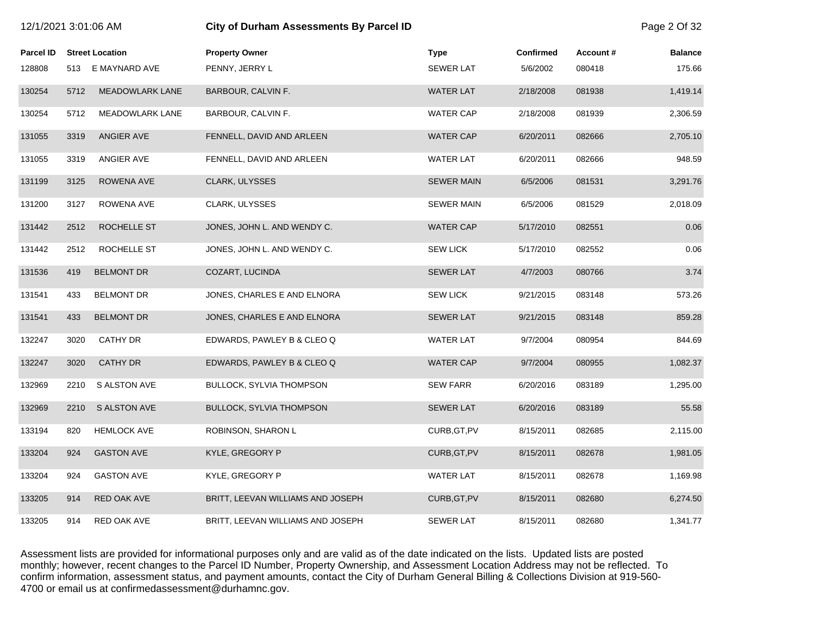| 12/1/2021 3:01:06 AM |      |                        | <b>City of Durham Assessments By Parcel ID</b> |                   |                  |          | Page 2 Of 32   |
|----------------------|------|------------------------|------------------------------------------------|-------------------|------------------|----------|----------------|
| Parcel ID            |      | <b>Street Location</b> | <b>Property Owner</b>                          | <b>Type</b>       | <b>Confirmed</b> | Account# | <b>Balance</b> |
| 128808               |      | 513 E MAYNARD AVE      | PENNY, JERRY L                                 | <b>SEWER LAT</b>  | 5/6/2002         | 080418   | 175.66         |
| 130254               | 5712 | <b>MEADOWLARK LANE</b> | BARBOUR, CALVIN F.                             | <b>WATER LAT</b>  | 2/18/2008        | 081938   | 1,419.14       |
| 130254               | 5712 | <b>MEADOWLARK LANE</b> | BARBOUR, CALVIN F.                             | <b>WATER CAP</b>  | 2/18/2008        | 081939   | 2,306.59       |
| 131055               | 3319 | ANGIER AVE             | FENNELL, DAVID AND ARLEEN                      | <b>WATER CAP</b>  | 6/20/2011        | 082666   | 2,705.10       |
| 131055               | 3319 | ANGIER AVE             | FENNELL, DAVID AND ARLEEN                      | <b>WATER LAT</b>  | 6/20/2011        | 082666   | 948.59         |
| 131199               | 3125 | ROWENA AVE             | CLARK, ULYSSES                                 | <b>SEWER MAIN</b> | 6/5/2006         | 081531   | 3,291.76       |
| 131200               | 3127 | ROWENA AVE             | CLARK, ULYSSES                                 | <b>SEWER MAIN</b> | 6/5/2006         | 081529   | 2,018.09       |
| 131442               | 2512 | ROCHELLE ST            | JONES, JOHN L. AND WENDY C.                    | <b>WATER CAP</b>  | 5/17/2010        | 082551   | 0.06           |
| 131442               | 2512 | ROCHELLE ST            | JONES, JOHN L. AND WENDY C.                    | <b>SEW LICK</b>   | 5/17/2010        | 082552   | 0.06           |
| 131536               | 419  | <b>BELMONT DR</b>      | COZART, LUCINDA                                | <b>SEWER LAT</b>  | 4/7/2003         | 080766   | 3.74           |
| 131541               | 433  | <b>BELMONT DR</b>      | JONES, CHARLES E AND ELNORA                    | <b>SEW LICK</b>   | 9/21/2015        | 083148   | 573.26         |
| 131541               | 433  | <b>BELMONT DR</b>      | JONES, CHARLES E AND ELNORA                    | <b>SEWER LAT</b>  | 9/21/2015        | 083148   | 859.28         |
| 132247               | 3020 | <b>CATHY DR</b>        | EDWARDS, PAWLEY B & CLEO Q                     | <b>WATER LAT</b>  | 9/7/2004         | 080954   | 844.69         |
| 132247               | 3020 | <b>CATHY DR</b>        | EDWARDS, PAWLEY B & CLEO Q                     | <b>WATER CAP</b>  | 9/7/2004         | 080955   | 1,082.37       |
| 132969               | 2210 | S ALSTON AVE           | <b>BULLOCK, SYLVIA THOMPSON</b>                | <b>SEW FARR</b>   | 6/20/2016        | 083189   | 1,295.00       |
| 132969               | 2210 | S ALSTON AVE           | <b>BULLOCK, SYLVIA THOMPSON</b>                | <b>SEWER LAT</b>  | 6/20/2016        | 083189   | 55.58          |
| 133194               | 820  | <b>HEMLOCK AVE</b>     | ROBINSON, SHARON L                             | CURB, GT, PV      | 8/15/2011        | 082685   | 2,115.00       |
| 133204               | 924  | <b>GASTON AVE</b>      | KYLE, GREGORY P                                | CURB, GT, PV      | 8/15/2011        | 082678   | 1,981.05       |
| 133204               | 924  | <b>GASTON AVE</b>      | KYLE, GREGORY P                                | <b>WATER LAT</b>  | 8/15/2011        | 082678   | 1,169.98       |
| 133205               | 914  | <b>RED OAK AVE</b>     | BRITT, LEEVAN WILLIAMS AND JOSEPH              | CURB, GT, PV      | 8/15/2011        | 082680   | 6,274.50       |
| 133205               | 914  | RED OAK AVE            | BRITT, LEEVAN WILLIAMS AND JOSEPH              | <b>SEWER LAT</b>  | 8/15/2011        | 082680   | 1,341.77       |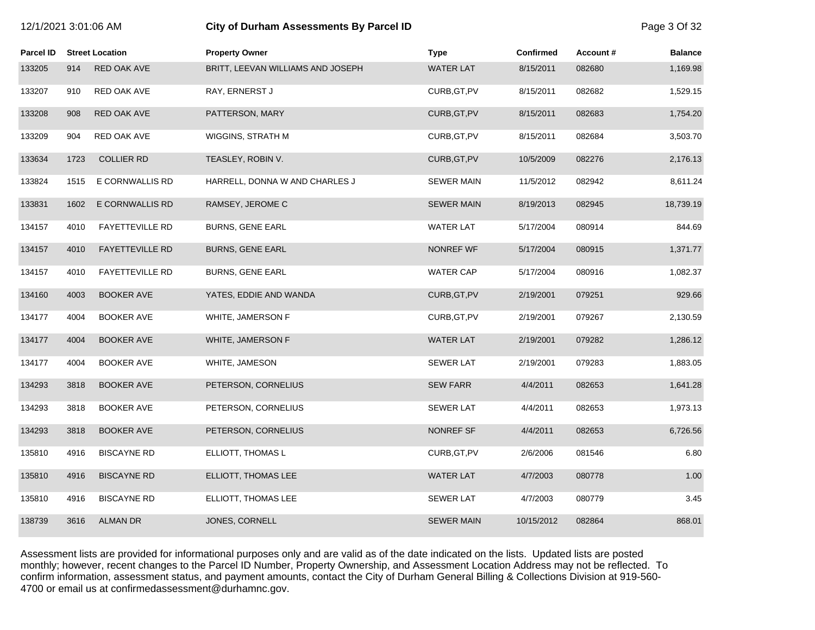| 12/1/2021 3:01:06 AM |      |                        | City of Durham Assessments By Parcel ID |                   |                  |          |                |
|----------------------|------|------------------------|-----------------------------------------|-------------------|------------------|----------|----------------|
| Parcel ID            |      | <b>Street Location</b> | <b>Property Owner</b>                   | <b>Type</b>       | <b>Confirmed</b> | Account# | <b>Balance</b> |
| 133205               | 914  | <b>RED OAK AVE</b>     | BRITT, LEEVAN WILLIAMS AND JOSEPH       | <b>WATER LAT</b>  | 8/15/2011        | 082680   | 1,169.98       |
| 133207               | 910  | RED OAK AVE            | RAY, ERNERST J                          | CURB, GT, PV      | 8/15/2011        | 082682   | 1,529.15       |
| 133208               | 908  | RED OAK AVE            | PATTERSON, MARY                         | CURB, GT, PV      | 8/15/2011        | 082683   | 1,754.20       |
| 133209               | 904  | RED OAK AVE            | WIGGINS, STRATH M                       | CURB, GT, PV      | 8/15/2011        | 082684   | 3,503.70       |
| 133634               | 1723 | <b>COLLIER RD</b>      | TEASLEY, ROBIN V.                       | CURB, GT, PV      | 10/5/2009        | 082276   | 2,176.13       |
| 133824               | 1515 | E CORNWALLIS RD        | HARRELL, DONNA W AND CHARLES J          | <b>SEWER MAIN</b> | 11/5/2012        | 082942   | 8,611.24       |
| 133831               | 1602 | E CORNWALLIS RD        | RAMSEY, JEROME C                        | <b>SEWER MAIN</b> | 8/19/2013        | 082945   | 18,739.19      |
| 134157               | 4010 | <b>FAYETTEVILLE RD</b> | <b>BURNS, GENE EARL</b>                 | <b>WATER LAT</b>  | 5/17/2004        | 080914   | 844.69         |
| 134157               | 4010 | FAYETTEVILLE RD        | <b>BURNS, GENE EARL</b>                 | <b>NONREF WF</b>  | 5/17/2004        | 080915   | 1,371.77       |
| 134157               | 4010 | <b>FAYETTEVILLE RD</b> | <b>BURNS, GENE EARL</b>                 | <b>WATER CAP</b>  | 5/17/2004        | 080916   | 1,082.37       |
| 134160               | 4003 | <b>BOOKER AVE</b>      | YATES, EDDIE AND WANDA                  | CURB, GT, PV      | 2/19/2001        | 079251   | 929.66         |
| 134177               | 4004 | <b>BOOKER AVE</b>      | WHITE, JAMERSON F                       | CURB, GT, PV      | 2/19/2001        | 079267   | 2,130.59       |
| 134177               | 4004 | <b>BOOKER AVE</b>      | WHITE, JAMERSON F                       | <b>WATER LAT</b>  | 2/19/2001        | 079282   | 1,286.12       |
| 134177               | 4004 | <b>BOOKER AVE</b>      | WHITE, JAMESON                          | <b>SEWER LAT</b>  | 2/19/2001        | 079283   | 1,883.05       |
| 134293               | 3818 | <b>BOOKER AVE</b>      | PETERSON, CORNELIUS                     | <b>SEW FARR</b>   | 4/4/2011         | 082653   | 1,641.28       |
| 134293               | 3818 | <b>BOOKER AVE</b>      | PETERSON, CORNELIUS                     | <b>SEWER LAT</b>  | 4/4/2011         | 082653   | 1,973.13       |
| 134293               | 3818 | <b>BOOKER AVE</b>      | PETERSON, CORNELIUS                     | <b>NONREF SF</b>  | 4/4/2011         | 082653   | 6,726.56       |
| 135810               | 4916 | <b>BISCAYNE RD</b>     | ELLIOTT, THOMAS L                       | CURB, GT, PV      | 2/6/2006         | 081546   | 6.80           |
| 135810               | 4916 | <b>BISCAYNE RD</b>     | ELLIOTT, THOMAS LEE                     | <b>WATER LAT</b>  | 4/7/2003         | 080778   | 1.00           |
| 135810               | 4916 | <b>BISCAYNE RD</b>     | ELLIOTT, THOMAS LEE                     | <b>SEWER LAT</b>  | 4/7/2003         | 080779   | 3.45           |
| 138739               | 3616 | <b>ALMAN DR</b>        | JONES, CORNELL                          | <b>SEWER MAIN</b> | 10/15/2012       | 082864   | 868.01         |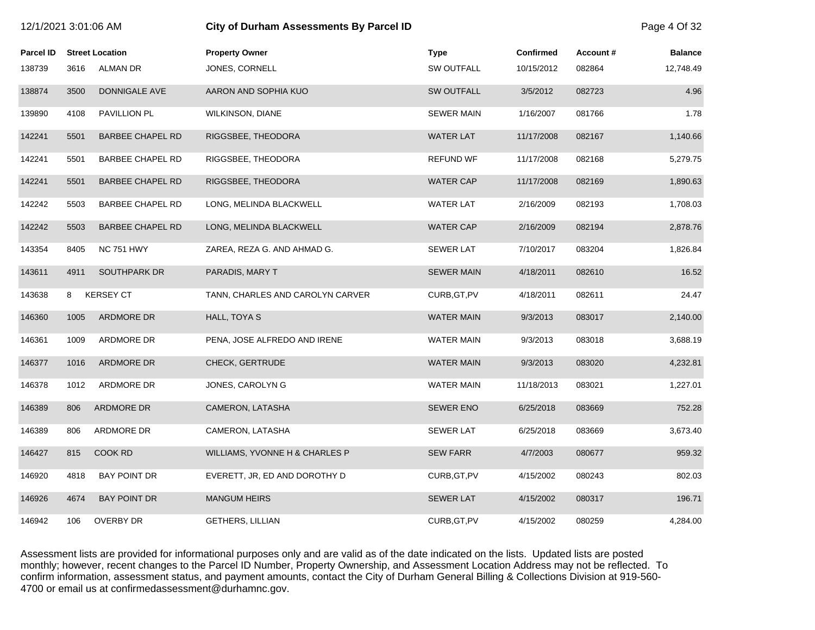| 12/1/2021 3:01:06 AM |      |                         | City of Durham Assessments By Parcel ID |                   |                  |          |                |
|----------------------|------|-------------------------|-----------------------------------------|-------------------|------------------|----------|----------------|
| Parcel ID            |      | <b>Street Location</b>  | <b>Property Owner</b>                   | <b>Type</b>       | <b>Confirmed</b> | Account# | <b>Balance</b> |
| 138739               | 3616 | ALMAN DR                | JONES, CORNELL                          | <b>SW OUTFALL</b> | 10/15/2012       | 082864   | 12,748.49      |
| 138874               | 3500 | DONNIGALE AVE           | AARON AND SOPHIA KUO                    | <b>SW OUTFALL</b> | 3/5/2012         | 082723   | 4.96           |
| 139890               | 4108 | PAVILLION PL            | <b>WILKINSON, DIANE</b>                 | <b>SEWER MAIN</b> | 1/16/2007        | 081766   | 1.78           |
| 142241               | 5501 | <b>BARBEE CHAPEL RD</b> | RIGGSBEE, THEODORA                      | <b>WATER LAT</b>  | 11/17/2008       | 082167   | 1,140.66       |
| 142241               | 5501 | <b>BARBEE CHAPEL RD</b> | RIGGSBEE, THEODORA                      | <b>REFUND WF</b>  | 11/17/2008       | 082168   | 5,279.75       |
| 142241               | 5501 | <b>BARBEE CHAPEL RD</b> | RIGGSBEE, THEODORA                      | <b>WATER CAP</b>  | 11/17/2008       | 082169   | 1,890.63       |
| 142242               | 5503 | <b>BARBEE CHAPEL RD</b> | LONG, MELINDA BLACKWELL                 | <b>WATER LAT</b>  | 2/16/2009        | 082193   | 1,708.03       |
| 142242               | 5503 | <b>BARBEE CHAPEL RD</b> | LONG, MELINDA BLACKWELL                 | <b>WATER CAP</b>  | 2/16/2009        | 082194   | 2,878.76       |
| 143354               | 8405 | <b>NC 751 HWY</b>       | ZAREA, REZA G. AND AHMAD G.             | <b>SEWER LAT</b>  | 7/10/2017        | 083204   | 1,826.84       |
| 143611               | 4911 | SOUTHPARK DR            | PARADIS, MARY T                         | <b>SEWER MAIN</b> | 4/18/2011        | 082610   | 16.52          |
| 143638               | 8    | <b>KERSEY CT</b>        | TANN, CHARLES AND CAROLYN CARVER        | CURB, GT, PV      | 4/18/2011        | 082611   | 24.47          |
| 146360               | 1005 | ARDMORE DR              | HALL, TOYA S                            | <b>WATER MAIN</b> | 9/3/2013         | 083017   | 2,140.00       |
| 146361               | 1009 | ARDMORE DR              | PENA, JOSE ALFREDO AND IRENE            | <b>WATER MAIN</b> | 9/3/2013         | 083018   | 3,688.19       |
| 146377               | 1016 | ARDMORE DR              | CHECK, GERTRUDE                         | <b>WATER MAIN</b> | 9/3/2013         | 083020   | 4,232.81       |
| 146378               | 1012 | ARDMORE DR              | JONES, CAROLYN G                        | WATER MAIN        | 11/18/2013       | 083021   | 1,227.01       |
| 146389               | 806  | ARDMORE DR              | CAMERON, LATASHA                        | <b>SEWER ENO</b>  | 6/25/2018        | 083669   | 752.28         |
| 146389               | 806  | ARDMORE DR              | CAMERON, LATASHA                        | <b>SEWER LAT</b>  | 6/25/2018        | 083669   | 3,673.40       |
| 146427               | 815  | COOK RD                 | WILLIAMS, YVONNE H & CHARLES P          | <b>SEW FARR</b>   | 4/7/2003         | 080677   | 959.32         |
| 146920               | 4818 | <b>BAY POINT DR</b>     | EVERETT, JR, ED AND DOROTHY D           | CURB, GT, PV      | 4/15/2002        | 080243   | 802.03         |
| 146926               | 4674 | <b>BAY POINT DR</b>     | <b>MANGUM HEIRS</b>                     | <b>SEWER LAT</b>  | 4/15/2002        | 080317   | 196.71         |
| 146942               | 106  | <b>OVERBY DR</b>        | <b>GETHERS, LILLIAN</b>                 | CURB, GT, PV      | 4/15/2002        | 080259   | 4,284.00       |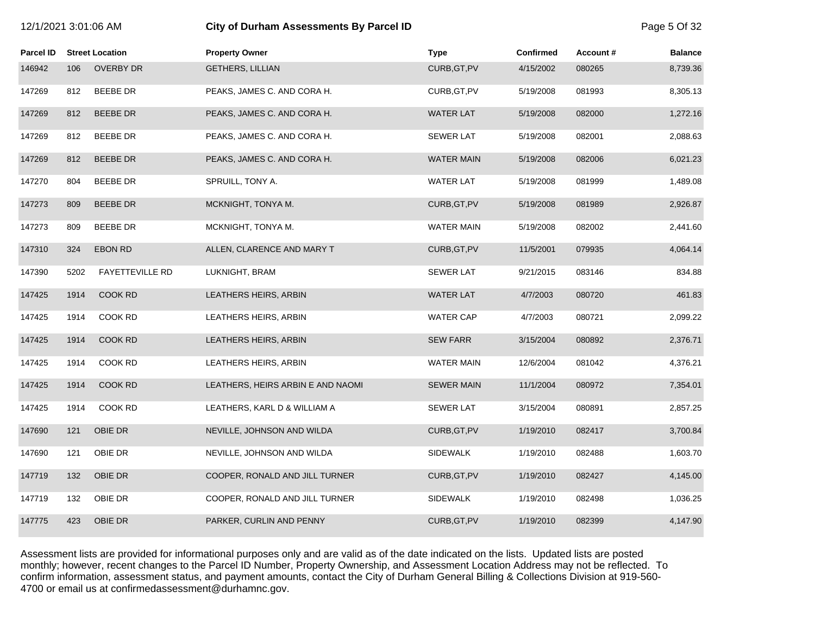| 12/1/2021 3:01:06 AM |      |                        | City of Durham Assessments By Parcel ID |                   |                  |          |                |
|----------------------|------|------------------------|-----------------------------------------|-------------------|------------------|----------|----------------|
| Parcel ID            |      | <b>Street Location</b> | <b>Property Owner</b>                   | <b>Type</b>       | <b>Confirmed</b> | Account# | <b>Balance</b> |
| 146942               | 106  | <b>OVERBY DR</b>       | <b>GETHERS, LILLIAN</b>                 | CURB, GT, PV      | 4/15/2002        | 080265   | 8,739.36       |
| 147269               | 812  | <b>BEEBE DR</b>        | PEAKS, JAMES C. AND CORA H.             | CURB, GT, PV      | 5/19/2008        | 081993   | 8,305.13       |
| 147269               | 812  | <b>BEEBE DR</b>        | PEAKS, JAMES C. AND CORA H.             | <b>WATER LAT</b>  | 5/19/2008        | 082000   | 1,272.16       |
| 147269               | 812  | <b>BEEBE DR</b>        | PEAKS, JAMES C. AND CORA H.             | SEWER LAT         | 5/19/2008        | 082001   | 2,088.63       |
| 147269               | 812  | <b>BEEBE DR</b>        | PEAKS, JAMES C. AND CORA H.             | <b>WATER MAIN</b> | 5/19/2008        | 082006   | 6,021.23       |
| 147270               | 804  | <b>BEEBE DR</b>        | SPRUILL, TONY A.                        | <b>WATER LAT</b>  | 5/19/2008        | 081999   | 1,489.08       |
| 147273               | 809  | <b>BEEBE DR</b>        | MCKNIGHT, TONYA M.                      | CURB, GT, PV      | 5/19/2008        | 081989   | 2,926.87       |
| 147273               | 809  | <b>BEEBE DR</b>        | MCKNIGHT, TONYA M.                      | <b>WATER MAIN</b> | 5/19/2008        | 082002   | 2,441.60       |
| 147310               | 324  | <b>EBON RD</b>         | ALLEN, CLARENCE AND MARY T              | CURB, GT, PV      | 11/5/2001        | 079935   | 4,064.14       |
| 147390               | 5202 | <b>FAYETTEVILLE RD</b> | LUKNIGHT, BRAM                          | SEWER LAT         | 9/21/2015        | 083146   | 834.88         |
| 147425               | 1914 | COOK RD                | LEATHERS HEIRS, ARBIN                   | WATER LAT         | 4/7/2003         | 080720   | 461.83         |
| 147425               | 1914 | COOK RD                | LEATHERS HEIRS, ARBIN                   | <b>WATER CAP</b>  | 4/7/2003         | 080721   | 2,099.22       |
| 147425               | 1914 | COOK RD                | LEATHERS HEIRS, ARBIN                   | <b>SEW FARR</b>   | 3/15/2004        | 080892   | 2,376.71       |
| 147425               | 1914 | COOK RD                | LEATHERS HEIRS, ARBIN                   | <b>WATER MAIN</b> | 12/6/2004        | 081042   | 4,376.21       |
| 147425               | 1914 | COOK RD                | LEATHERS, HEIRS ARBIN E AND NAOMI       | <b>SEWER MAIN</b> | 11/1/2004        | 080972   | 7,354.01       |
| 147425               | 1914 | COOK RD                | LEATHERS, KARL D & WILLIAM A            | <b>SEWER LAT</b>  | 3/15/2004        | 080891   | 2,857.25       |
| 147690               | 121  | OBIE DR                | NEVILLE, JOHNSON AND WILDA              | CURB, GT, PV      | 1/19/2010        | 082417   | 3,700.84       |
| 147690               | 121  | OBIE DR                | NEVILLE, JOHNSON AND WILDA              | <b>SIDEWALK</b>   | 1/19/2010        | 082488   | 1,603.70       |
| 147719               | 132  | OBIE DR                | COOPER, RONALD AND JILL TURNER          | CURB, GT, PV      | 1/19/2010        | 082427   | 4,145.00       |
| 147719               | 132  | OBIE DR                | COOPER, RONALD AND JILL TURNER          | <b>SIDEWALK</b>   | 1/19/2010        | 082498   | 1,036.25       |
| 147775               | 423  | OBIE DR                | PARKER, CURLIN AND PENNY                | CURB, GT, PV      | 1/19/2010        | 082399   | 4,147.90       |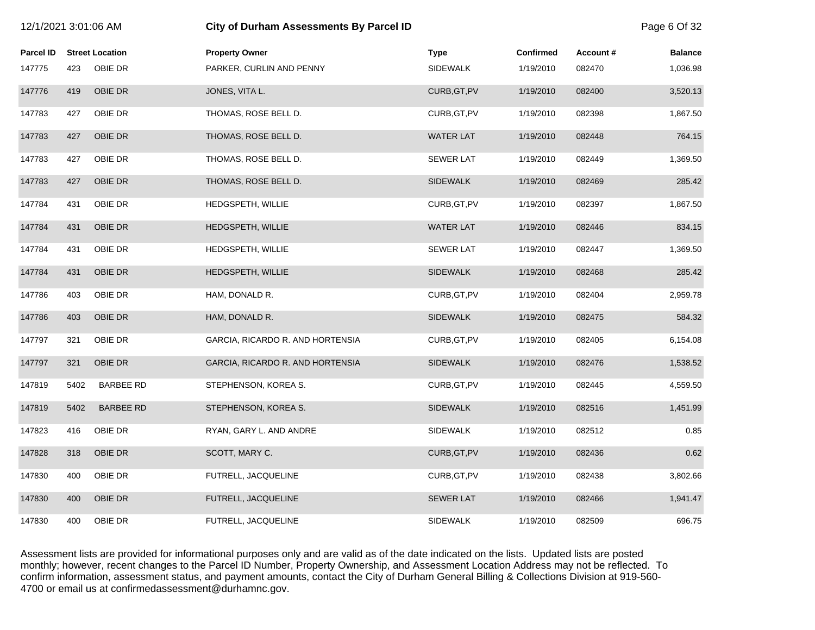| 12/1/2021 3:01:06 AM |      |                        | City of Durham Assessments By Parcel ID |                  |                  |          | Page 6 Of 32   |
|----------------------|------|------------------------|-----------------------------------------|------------------|------------------|----------|----------------|
| <b>Parcel ID</b>     |      | <b>Street Location</b> | <b>Property Owner</b>                   | <b>Type</b>      | <b>Confirmed</b> | Account# | <b>Balance</b> |
| 147775               | 423  | OBIE DR                | PARKER, CURLIN AND PENNY                | <b>SIDEWALK</b>  | 1/19/2010        | 082470   | 1,036.98       |
| 147776               | 419  | OBIE DR                | JONES, VITA L.                          | CURB, GT, PV     | 1/19/2010        | 082400   | 3,520.13       |
| 147783               | 427  | OBIE DR                | THOMAS, ROSE BELL D.                    | CURB, GT, PV     | 1/19/2010        | 082398   | 1,867.50       |
| 147783               | 427  | OBIE DR                | THOMAS, ROSE BELL D.                    | <b>WATER LAT</b> | 1/19/2010        | 082448   | 764.15         |
| 147783               | 427  | OBIE DR                | THOMAS, ROSE BELL D.                    | <b>SEWER LAT</b> | 1/19/2010        | 082449   | 1,369.50       |
| 147783               | 427  | OBIE DR                | THOMAS, ROSE BELL D.                    | <b>SIDEWALK</b>  | 1/19/2010        | 082469   | 285.42         |
| 147784               | 431  | OBIE DR                | HEDGSPETH, WILLIE                       | CURB, GT, PV     | 1/19/2010        | 082397   | 1,867.50       |
| 147784               | 431  | OBIE DR                | HEDGSPETH, WILLIE                       | <b>WATER LAT</b> | 1/19/2010        | 082446   | 834.15         |
| 147784               | 431  | OBIE DR                | HEDGSPETH, WILLIE                       | <b>SEWER LAT</b> | 1/19/2010        | 082447   | 1,369.50       |
| 147784               | 431  | OBIE DR                | HEDGSPETH, WILLIE                       | <b>SIDEWALK</b>  | 1/19/2010        | 082468   | 285.42         |
| 147786               | 403  | OBIE DR                | HAM, DONALD R.                          | CURB, GT, PV     | 1/19/2010        | 082404   | 2,959.78       |
| 147786               | 403  | OBIE DR                | HAM, DONALD R.                          | <b>SIDEWALK</b>  | 1/19/2010        | 082475   | 584.32         |
| 147797               | 321  | OBIE DR                | GARCIA, RICARDO R. AND HORTENSIA        | CURB, GT, PV     | 1/19/2010        | 082405   | 6,154.08       |
| 147797               | 321  | OBIE DR                | GARCIA, RICARDO R. AND HORTENSIA        | <b>SIDEWALK</b>  | 1/19/2010        | 082476   | 1,538.52       |
| 147819               | 5402 | <b>BARBEE RD</b>       | STEPHENSON, KOREA S.                    | CURB, GT, PV     | 1/19/2010        | 082445   | 4,559.50       |
| 147819               | 5402 | <b>BARBEE RD</b>       | STEPHENSON, KOREA S.                    | <b>SIDEWALK</b>  | 1/19/2010        | 082516   | 1,451.99       |
| 147823               | 416  | OBIE DR                | RYAN, GARY L. AND ANDRE                 | <b>SIDEWALK</b>  | 1/19/2010        | 082512   | 0.85           |
| 147828               | 318  | OBIE DR                | SCOTT, MARY C.                          | CURB, GT, PV     | 1/19/2010        | 082436   | 0.62           |
| 147830               | 400  | OBIE DR                | FUTRELL, JACQUELINE                     | CURB, GT, PV     | 1/19/2010        | 082438   | 3,802.66       |
| 147830               | 400  | OBIE DR                | FUTRELL, JACQUELINE                     | <b>SEWER LAT</b> | 1/19/2010        | 082466   | 1,941.47       |
| 147830               | 400  | OBIE DR                | FUTRELL, JACQUELINE                     | <b>SIDEWALK</b>  | 1/19/2010        | 082509   | 696.75         |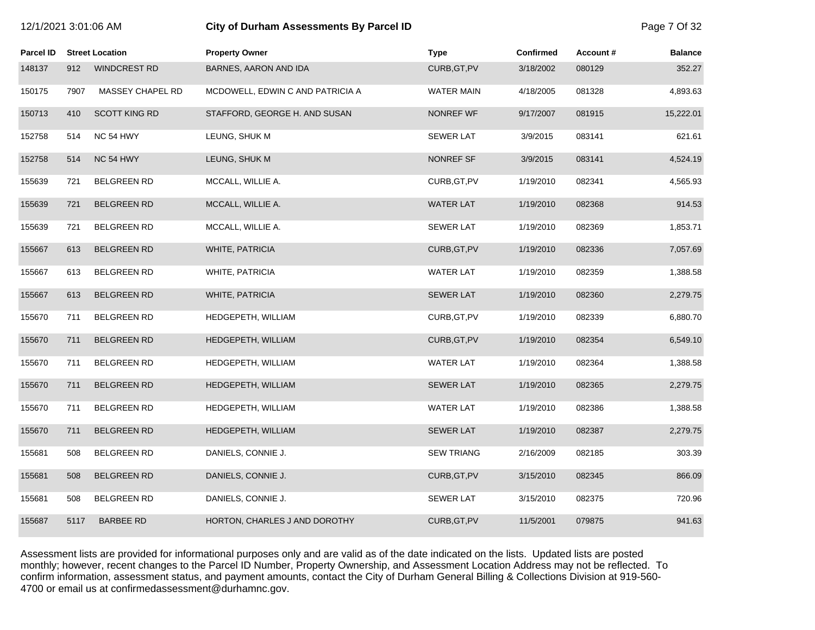| 12/1/2021 3:01:06 AM |      |                        | <b>City of Durham Assessments By Parcel ID</b> |                   |                  |          |                |
|----------------------|------|------------------------|------------------------------------------------|-------------------|------------------|----------|----------------|
| <b>Parcel ID</b>     |      | <b>Street Location</b> | <b>Property Owner</b>                          | <b>Type</b>       | <b>Confirmed</b> | Account# | <b>Balance</b> |
| 148137               | 912  | <b>WINDCREST RD</b>    | BARNES, AARON AND IDA                          | CURB, GT, PV      | 3/18/2002        | 080129   | 352.27         |
| 150175               | 7907 | MASSEY CHAPEL RD       | MCDOWELL, EDWIN C AND PATRICIA A               | WATER MAIN        | 4/18/2005        | 081328   | 4,893.63       |
| 150713               | 410  | <b>SCOTT KING RD</b>   | STAFFORD, GEORGE H. AND SUSAN                  | NONREF WF         | 9/17/2007        | 081915   | 15,222.01      |
| 152758               | 514  | NC 54 HWY              | LEUNG, SHUK M                                  | <b>SEWER LAT</b>  | 3/9/2015         | 083141   | 621.61         |
| 152758               | 514  | NC 54 HWY              | LEUNG, SHUK M                                  | NONREF SF         | 3/9/2015         | 083141   | 4,524.19       |
| 155639               | 721  | <b>BELGREEN RD</b>     | MCCALL, WILLIE A.                              | CURB, GT, PV      | 1/19/2010        | 082341   | 4,565.93       |
| 155639               | 721  | <b>BELGREEN RD</b>     | MCCALL, WILLIE A.                              | <b>WATER LAT</b>  | 1/19/2010        | 082368   | 914.53         |
| 155639               | 721  | <b>BELGREEN RD</b>     | MCCALL, WILLIE A.                              | SEWER LAT         | 1/19/2010        | 082369   | 1,853.71       |
| 155667               | 613  | <b>BELGREEN RD</b>     | WHITE, PATRICIA                                | CURB, GT, PV      | 1/19/2010        | 082336   | 7,057.69       |
| 155667               | 613  | <b>BELGREEN RD</b>     | WHITE, PATRICIA                                | <b>WATER LAT</b>  | 1/19/2010        | 082359   | 1,388.58       |
| 155667               | 613  | <b>BELGREEN RD</b>     | WHITE, PATRICIA                                | <b>SEWER LAT</b>  | 1/19/2010        | 082360   | 2,279.75       |
| 155670               | 711  | <b>BELGREEN RD</b>     | HEDGEPETH, WILLIAM                             | CURB, GT, PV      | 1/19/2010        | 082339   | 6,880.70       |
| 155670               | 711  | <b>BELGREEN RD</b>     | HEDGEPETH, WILLIAM                             | CURB, GT, PV      | 1/19/2010        | 082354   | 6,549.10       |
| 155670               | 711  | BELGREEN RD            | HEDGEPETH, WILLIAM                             | <b>WATER LAT</b>  | 1/19/2010        | 082364   | 1,388.58       |
| 155670               | 711  | <b>BELGREEN RD</b>     | HEDGEPETH, WILLIAM                             | <b>SEWER LAT</b>  | 1/19/2010        | 082365   | 2,279.75       |
| 155670               | 711  | <b>BELGREEN RD</b>     | HEDGEPETH, WILLIAM                             | <b>WATER LAT</b>  | 1/19/2010        | 082386   | 1,388.58       |
| 155670               | 711  | <b>BELGREEN RD</b>     | HEDGEPETH, WILLIAM                             | <b>SEWER LAT</b>  | 1/19/2010        | 082387   | 2,279.75       |
| 155681               | 508  | <b>BELGREEN RD</b>     | DANIELS, CONNIE J.                             | <b>SEW TRIANG</b> | 2/16/2009        | 082185   | 303.39         |
| 155681               | 508  | <b>BELGREEN RD</b>     | DANIELS, CONNIE J.                             | CURB, GT, PV      | 3/15/2010        | 082345   | 866.09         |
| 155681               | 508  | <b>BELGREEN RD</b>     | DANIELS, CONNIE J.                             | SEWER LAT         | 3/15/2010        | 082375   | 720.96         |
| 155687               | 5117 | <b>BARBEE RD</b>       | HORTON, CHARLES J AND DOROTHY                  | CURB, GT, PV      | 11/5/2001        | 079875   | 941.63         |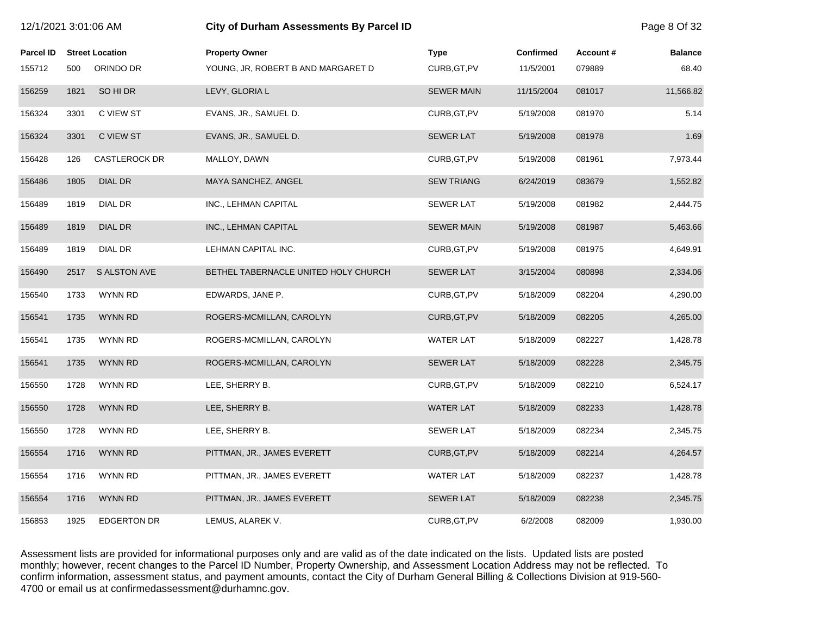| 12/1/2021 3:01:06 AM |      |                        | City of Durham Assessments By Parcel ID |                   |                  |           |                |
|----------------------|------|------------------------|-----------------------------------------|-------------------|------------------|-----------|----------------|
| <b>Parcel ID</b>     |      | <b>Street Location</b> | <b>Property Owner</b>                   | <b>Type</b>       | <b>Confirmed</b> | Account # | <b>Balance</b> |
| 155712               | 500  | ORINDO DR              | YOUNG, JR, ROBERT B AND MARGARET D      | CURB, GT, PV      | 11/5/2001        | 079889    | 68.40          |
| 156259               | 1821 | SO HI DR               | LEVY, GLORIA L                          | <b>SEWER MAIN</b> | 11/15/2004       | 081017    | 11,566.82      |
| 156324               | 3301 | C VIEW ST              | EVANS, JR., SAMUEL D.                   | CURB, GT, PV      | 5/19/2008        | 081970    | 5.14           |
| 156324               | 3301 | C VIEW ST              | EVANS, JR., SAMUEL D.                   | <b>SEWER LAT</b>  | 5/19/2008        | 081978    | 1.69           |
| 156428               | 126  | <b>CASTLEROCK DR</b>   | MALLOY, DAWN                            | CURB, GT, PV      | 5/19/2008        | 081961    | 7,973.44       |
| 156486               | 1805 | <b>DIAL DR</b>         | MAYA SANCHEZ, ANGEL                     | <b>SEW TRIANG</b> | 6/24/2019        | 083679    | 1,552.82       |
| 156489               | 1819 | DIAL DR                | INC., LEHMAN CAPITAL                    | <b>SEWER LAT</b>  | 5/19/2008        | 081982    | 2,444.75       |
| 156489               | 1819 | <b>DIAL DR</b>         | INC., LEHMAN CAPITAL                    | <b>SEWER MAIN</b> | 5/19/2008        | 081987    | 5,463.66       |
| 156489               | 1819 | DIAL DR                | LEHMAN CAPITAL INC.                     | CURB, GT, PV      | 5/19/2008        | 081975    | 4,649.91       |
| 156490               | 2517 | <b>S ALSTON AVE</b>    | BETHEL TABERNACLE UNITED HOLY CHURCH    | <b>SEWER LAT</b>  | 3/15/2004        | 080898    | 2,334.06       |
| 156540               | 1733 | WYNN RD                | EDWARDS, JANE P.                        | CURB, GT, PV      | 5/18/2009        | 082204    | 4,290.00       |
| 156541               | 1735 | <b>WYNN RD</b>         | ROGERS-MCMILLAN, CAROLYN                | CURB, GT, PV      | 5/18/2009        | 082205    | 4,265.00       |
| 156541               | 1735 | WYNN RD                | ROGERS-MCMILLAN, CAROLYN                | <b>WATER LAT</b>  | 5/18/2009        | 082227    | 1,428.78       |
| 156541               | 1735 | <b>WYNN RD</b>         | ROGERS-MCMILLAN, CAROLYN                | <b>SEWER LAT</b>  | 5/18/2009        | 082228    | 2,345.75       |
| 156550               | 1728 | WYNN RD                | LEE, SHERRY B.                          | CURB, GT, PV      | 5/18/2009        | 082210    | 6,524.17       |
| 156550               | 1728 | <b>WYNN RD</b>         | LEE, SHERRY B.                          | <b>WATER LAT</b>  | 5/18/2009        | 082233    | 1,428.78       |
| 156550               | 1728 | <b>WYNN RD</b>         | LEE, SHERRY B.                          | <b>SEWER LAT</b>  | 5/18/2009        | 082234    | 2,345.75       |
| 156554               | 1716 | <b>WYNN RD</b>         | PITTMAN, JR., JAMES EVERETT             | CURB, GT, PV      | 5/18/2009        | 082214    | 4,264.57       |
| 156554               | 1716 | WYNN RD                | PITTMAN, JR., JAMES EVERETT             | <b>WATER LAT</b>  | 5/18/2009        | 082237    | 1,428.78       |
| 156554               | 1716 | <b>WYNN RD</b>         | PITTMAN, JR., JAMES EVERETT             | <b>SEWER LAT</b>  | 5/18/2009        | 082238    | 2,345.75       |
| 156853               | 1925 | <b>EDGERTON DR</b>     | LEMUS, ALAREK V.                        | CURB, GT, PV      | 6/2/2008         | 082009    | 1,930.00       |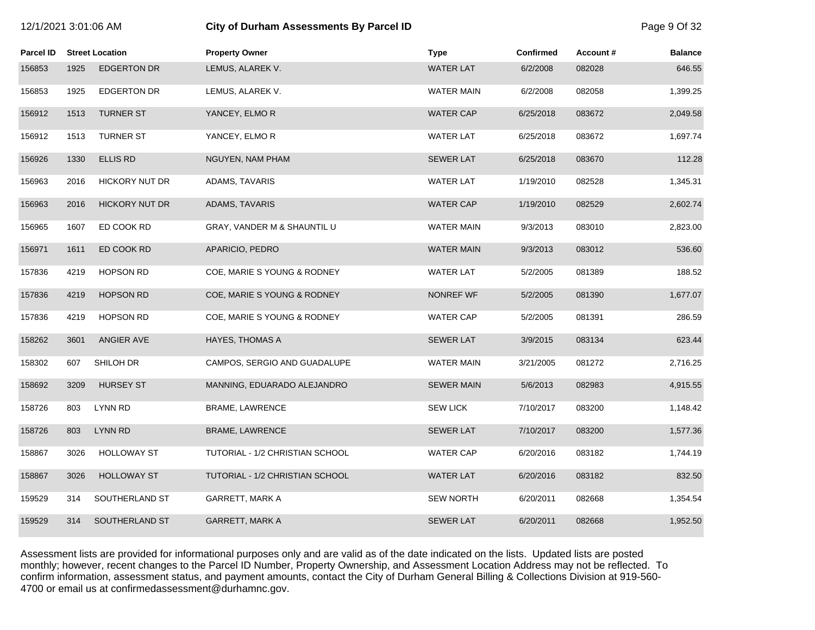# 12/1/2021 3:01:06 AM **City of Durham Assessments By Parcel ID** Page 9 Of 32

| Parcel ID |      | <b>Street Location</b> | <b>Property Owner</b>           | <b>Type</b>       | Confirmed | Account# | <b>Balance</b> |
|-----------|------|------------------------|---------------------------------|-------------------|-----------|----------|----------------|
| 156853    | 1925 | <b>EDGERTON DR</b>     | LEMUS, ALAREK V.                | <b>WATER LAT</b>  | 6/2/2008  | 082028   | 646.55         |
| 156853    | 1925 | <b>EDGERTON DR</b>     | LEMUS, ALAREK V.                | <b>WATER MAIN</b> | 6/2/2008  | 082058   | 1,399.25       |
| 156912    | 1513 | <b>TURNER ST</b>       | YANCEY, ELMOR                   | <b>WATER CAP</b>  | 6/25/2018 | 083672   | 2,049.58       |
| 156912    | 1513 | <b>TURNER ST</b>       | YANCEY, ELMOR                   | <b>WATER LAT</b>  | 6/25/2018 | 083672   | 1,697.74       |
| 156926    | 1330 | <b>ELLIS RD</b>        | NGUYEN, NAM PHAM                | <b>SEWER LAT</b>  | 6/25/2018 | 083670   | 112.28         |
| 156963    | 2016 | <b>HICKORY NUT DR</b>  | ADAMS, TAVARIS                  | <b>WATER LAT</b>  | 1/19/2010 | 082528   | 1,345.31       |
| 156963    | 2016 | <b>HICKORY NUT DR</b>  | ADAMS, TAVARIS                  | <b>WATER CAP</b>  | 1/19/2010 | 082529   | 2,602.74       |
| 156965    | 1607 | ED COOK RD             | GRAY, VANDER M & SHAUNTIL U     | WATER MAIN        | 9/3/2013  | 083010   | 2,823.00       |
| 156971    | 1611 | ED COOK RD             | APARICIO, PEDRO                 | <b>WATER MAIN</b> | 9/3/2013  | 083012   | 536.60         |
| 157836    | 4219 | <b>HOPSON RD</b>       | COE, MARIE S YOUNG & RODNEY     | <b>WATER LAT</b>  | 5/2/2005  | 081389   | 188.52         |
| 157836    | 4219 | <b>HOPSON RD</b>       | COE, MARIE S YOUNG & RODNEY     | <b>NONREF WF</b>  | 5/2/2005  | 081390   | 1,677.07       |
| 157836    | 4219 | <b>HOPSON RD</b>       | COE, MARIE S YOUNG & RODNEY     | <b>WATER CAP</b>  | 5/2/2005  | 081391   | 286.59         |
| 158262    | 3601 | ANGIER AVE             | HAYES, THOMAS A                 | <b>SEWER LAT</b>  | 3/9/2015  | 083134   | 623.44         |
| 158302    | 607  | SHILOH DR              | CAMPOS, SERGIO AND GUADALUPE    | WATER MAIN        | 3/21/2005 | 081272   | 2,716.25       |
| 158692    | 3209 | <b>HURSEY ST</b>       | MANNING, EDUARADO ALEJANDRO     | <b>SEWER MAIN</b> | 5/6/2013  | 082983   | 4,915.55       |
| 158726    | 803  | <b>LYNN RD</b>         | <b>BRAME, LAWRENCE</b>          | <b>SEW LICK</b>   | 7/10/2017 | 083200   | 1,148.42       |
| 158726    | 803  | <b>LYNN RD</b>         | BRAME, LAWRENCE                 | <b>SEWER LAT</b>  | 7/10/2017 | 083200   | 1,577.36       |
| 158867    | 3026 | <b>HOLLOWAY ST</b>     | TUTORIAL - 1/2 CHRISTIAN SCHOOL | <b>WATER CAP</b>  | 6/20/2016 | 083182   | 1,744.19       |
| 158867    | 3026 | <b>HOLLOWAY ST</b>     | TUTORIAL - 1/2 CHRISTIAN SCHOOL | <b>WATER LAT</b>  | 6/20/2016 | 083182   | 832.50         |
| 159529    | 314  | SOUTHERLAND ST         | GARRETT, MARK A                 | <b>SEW NORTH</b>  | 6/20/2011 | 082668   | 1,354.54       |
| 159529    | 314  | SOUTHERLAND ST         | <b>GARRETT, MARK A</b>          | <b>SEWER LAT</b>  | 6/20/2011 | 082668   | 1,952.50       |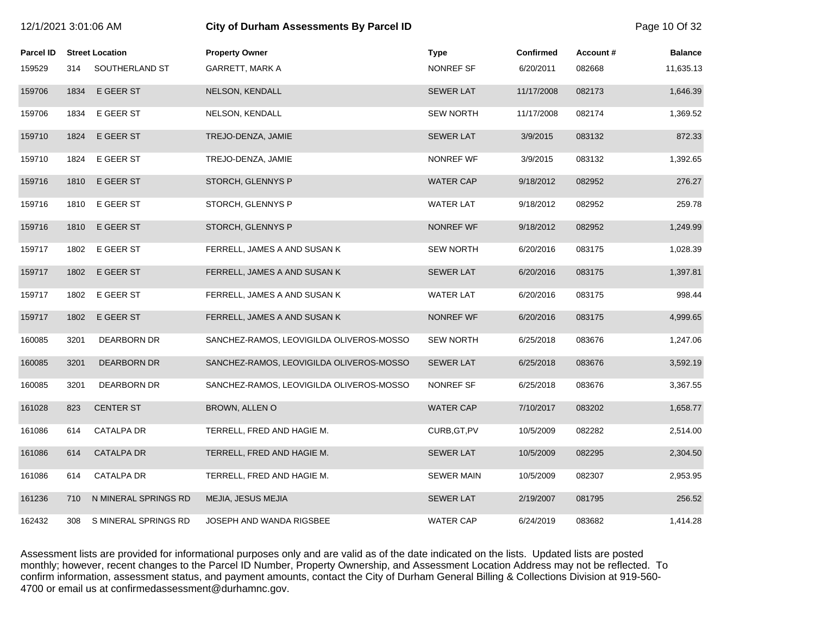| 12/1/2021 3:01:06 AM |      |                        | <b>City of Durham Assessments By Parcel ID</b> |                   |                  |          |                |
|----------------------|------|------------------------|------------------------------------------------|-------------------|------------------|----------|----------------|
| <b>Parcel ID</b>     |      | <b>Street Location</b> | <b>Property Owner</b>                          | <b>Type</b>       | <b>Confirmed</b> | Account# | <b>Balance</b> |
| 159529               | 314  | SOUTHERLAND ST         | <b>GARRETT, MARK A</b>                         | NONREF SF         | 6/20/2011        | 082668   | 11,635.13      |
| 159706               | 1834 | E GEER ST              | NELSON, KENDALL                                | <b>SEWER LAT</b>  | 11/17/2008       | 082173   | 1,646.39       |
| 159706               | 1834 | E GEER ST              | NELSON, KENDALL                                | <b>SEW NORTH</b>  | 11/17/2008       | 082174   | 1,369.52       |
| 159710               | 1824 | E GEER ST              | TREJO-DENZA, JAMIE                             | <b>SEWER LAT</b>  | 3/9/2015         | 083132   | 872.33         |
| 159710               | 1824 | E GEER ST              | TREJO-DENZA, JAMIE                             | NONREF WF         | 3/9/2015         | 083132   | 1,392.65       |
| 159716               | 1810 | E GEER ST              | STORCH, GLENNYS P                              | <b>WATER CAP</b>  | 9/18/2012        | 082952   | 276.27         |
| 159716               | 1810 | E GEER ST              | STORCH, GLENNYS P                              | <b>WATER LAT</b>  | 9/18/2012        | 082952   | 259.78         |
| 159716               | 1810 | E GEER ST              | STORCH, GLENNYS P                              | <b>NONREF WF</b>  | 9/18/2012        | 082952   | 1,249.99       |
| 159717               | 1802 | E GEER ST              | FERRELL, JAMES A AND SUSAN K                   | <b>SEW NORTH</b>  | 6/20/2016        | 083175   | 1,028.39       |
| 159717               | 1802 | E GEER ST              | FERRELL, JAMES A AND SUSAN K                   | <b>SEWER LAT</b>  | 6/20/2016        | 083175   | 1,397.81       |
| 159717               | 1802 | E GEER ST              | FERRELL, JAMES A AND SUSAN K                   | <b>WATER LAT</b>  | 6/20/2016        | 083175   | 998.44         |
| 159717               | 1802 | E GEER ST              | FERRELL, JAMES A AND SUSAN K                   | NONREF WF         | 6/20/2016        | 083175   | 4,999.65       |
| 160085               | 3201 | DEARBORN DR            | SANCHEZ-RAMOS, LEOVIGILDA OLIVEROS-MOSSO       | <b>SEW NORTH</b>  | 6/25/2018        | 083676   | 1,247.06       |
| 160085               | 3201 | <b>DEARBORN DR</b>     | SANCHEZ-RAMOS, LEOVIGILDA OLIVEROS-MOSSO       | <b>SEWER LAT</b>  | 6/25/2018        | 083676   | 3,592.19       |
| 160085               | 3201 | DEARBORN DR            | SANCHEZ-RAMOS, LEOVIGILDA OLIVEROS-MOSSO       | NONREF SF         | 6/25/2018        | 083676   | 3,367.55       |
| 161028               | 823  | <b>CENTER ST</b>       | BROWN, ALLEN O                                 | <b>WATER CAP</b>  | 7/10/2017        | 083202   | 1,658.77       |
| 161086               | 614  | <b>CATALPA DR</b>      | TERRELL, FRED AND HAGIE M.                     | CURB, GT, PV      | 10/5/2009        | 082282   | 2,514.00       |
| 161086               | 614  | <b>CATALPA DR</b>      | TERRELL, FRED AND HAGIE M.                     | <b>SEWER LAT</b>  | 10/5/2009        | 082295   | 2,304.50       |
| 161086               | 614  | <b>CATALPA DR</b>      | TERRELL, FRED AND HAGIE M.                     | <b>SEWER MAIN</b> | 10/5/2009        | 082307   | 2,953.95       |
| 161236               | 710  | N MINERAL SPRINGS RD   | MEJIA, JESUS MEJIA                             | <b>SEWER LAT</b>  | 2/19/2007        | 081795   | 256.52         |
| 162432               | 308  | S MINERAL SPRINGS RD   | JOSEPH AND WANDA RIGSBEE                       | <b>WATER CAP</b>  | 6/24/2019        | 083682   | 1,414.28       |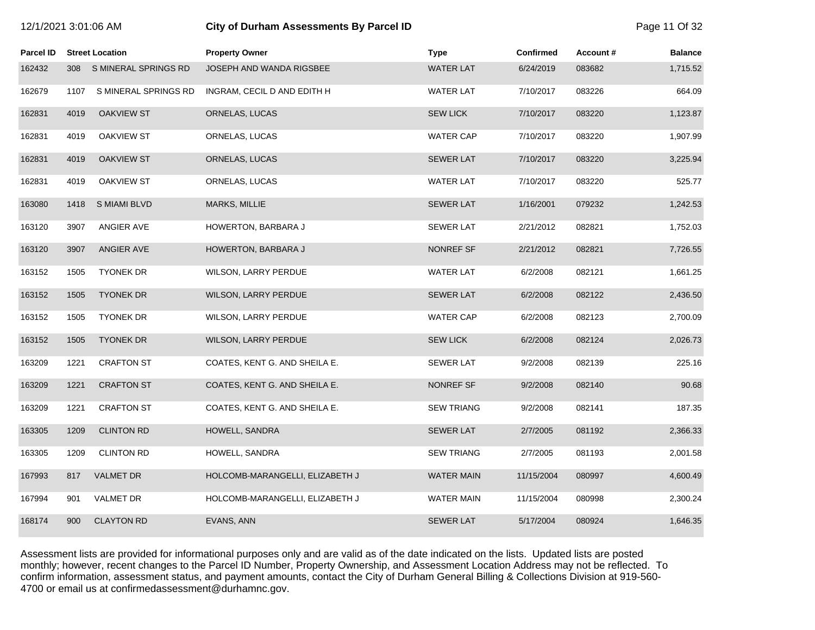| Parcel ID |      | <b>Street Location</b> | <b>Property Owner</b>           | <b>Type</b>       | Confirmed  | Account# | <b>Balance</b> |
|-----------|------|------------------------|---------------------------------|-------------------|------------|----------|----------------|
| 162432    | 308  | S MINERAL SPRINGS RD   | JOSEPH AND WANDA RIGSBEE        | <b>WATER LAT</b>  | 6/24/2019  | 083682   | 1,715.52       |
| 162679    | 1107 | S MINERAL SPRINGS RD   | INGRAM, CECIL D AND EDITH H     | <b>WATER LAT</b>  | 7/10/2017  | 083226   | 664.09         |
| 162831    | 4019 | <b>OAKVIEW ST</b>      | ORNELAS, LUCAS                  | <b>SEW LICK</b>   | 7/10/2017  | 083220   | 1,123.87       |
| 162831    | 4019 | <b>OAKVIEW ST</b>      | ORNELAS, LUCAS                  | <b>WATER CAP</b>  | 7/10/2017  | 083220   | 1,907.99       |
| 162831    | 4019 | <b>OAKVIEW ST</b>      | ORNELAS, LUCAS                  | <b>SEWER LAT</b>  | 7/10/2017  | 083220   | 3,225.94       |
| 162831    | 4019 | <b>OAKVIEW ST</b>      | ORNELAS, LUCAS                  | <b>WATER LAT</b>  | 7/10/2017  | 083220   | 525.77         |
| 163080    | 1418 | S MIAMI BLVD           | MARKS, MILLIE                   | <b>SEWER LAT</b>  | 1/16/2001  | 079232   | 1,242.53       |
| 163120    | 3907 | ANGIER AVE             | HOWERTON, BARBARA J             | <b>SEWER LAT</b>  | 2/21/2012  | 082821   | 1,752.03       |
| 163120    | 3907 | ANGIER AVE             | HOWERTON, BARBARA J             | NONREF SF         | 2/21/2012  | 082821   | 7,726.55       |
| 163152    | 1505 | <b>TYONEK DR</b>       | WILSON, LARRY PERDUE            | <b>WATER LAT</b>  | 6/2/2008   | 082121   | 1,661.25       |
| 163152    | 1505 | <b>TYONEK DR</b>       | WILSON, LARRY PERDUE            | <b>SEWER LAT</b>  | 6/2/2008   | 082122   | 2,436.50       |
| 163152    | 1505 | <b>TYONEK DR</b>       | WILSON, LARRY PERDUE            | <b>WATER CAP</b>  | 6/2/2008   | 082123   | 2,700.09       |
| 163152    | 1505 | <b>TYONEK DR</b>       | WILSON, LARRY PERDUE            | <b>SEW LICK</b>   | 6/2/2008   | 082124   | 2,026.73       |
| 163209    | 1221 | <b>CRAFTON ST</b>      | COATES, KENT G. AND SHEILA E.   | <b>SEWER LAT</b>  | 9/2/2008   | 082139   | 225.16         |
| 163209    | 1221 | <b>CRAFTON ST</b>      | COATES, KENT G. AND SHEILA E.   | NONREF SF         | 9/2/2008   | 082140   | 90.68          |
| 163209    | 1221 | <b>CRAFTON ST</b>      | COATES, KENT G. AND SHEILA E.   | <b>SEW TRIANG</b> | 9/2/2008   | 082141   | 187.35         |
| 163305    | 1209 | <b>CLINTON RD</b>      | HOWELL, SANDRA                  | <b>SEWER LAT</b>  | 2/7/2005   | 081192   | 2,366.33       |
| 163305    | 1209 | <b>CLINTON RD</b>      | HOWELL, SANDRA                  | <b>SEW TRIANG</b> | 2/7/2005   | 081193   | 2,001.58       |
| 167993    | 817  | <b>VALMET DR</b>       | HOLCOMB-MARANGELLI, ELIZABETH J | <b>WATER MAIN</b> | 11/15/2004 | 080997   | 4,600.49       |
| 167994    | 901  | <b>VALMET DR</b>       | HOLCOMB-MARANGELLI, ELIZABETH J | <b>WATER MAIN</b> | 11/15/2004 | 080998   | 2,300.24       |
| 168174    | 900  | <b>CLAYTON RD</b>      | EVANS, ANN                      | <b>SEWER LAT</b>  | 5/17/2004  | 080924   | 1,646.35       |

12/1/2021 3:01:06 AM **City of Durham Assessments By Parcel ID** Page 11 Of 32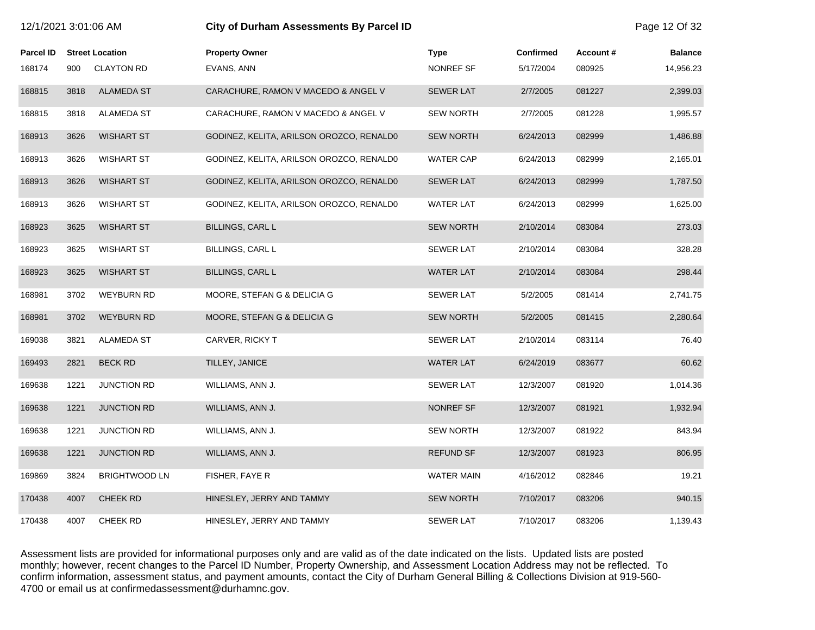| 12/1/2021 3:01:06 AM |      |                        | <b>City of Durham Assessments By Parcel ID</b> |                  |                  |          | Page 12 Of 32  |
|----------------------|------|------------------------|------------------------------------------------|------------------|------------------|----------|----------------|
| <b>Parcel ID</b>     |      | <b>Street Location</b> | <b>Property Owner</b>                          | <b>Type</b>      | <b>Confirmed</b> | Account# | <b>Balance</b> |
| 168174               | 900  | <b>CLAYTON RD</b>      | EVANS, ANN                                     | NONREF SF        | 5/17/2004        | 080925   | 14,956.23      |
| 168815               | 3818 | <b>ALAMEDA ST</b>      | CARACHURE, RAMON V MACEDO & ANGEL V            | <b>SEWER LAT</b> | 2/7/2005         | 081227   | 2,399.03       |
| 168815               | 3818 | <b>ALAMEDA ST</b>      | CARACHURE, RAMON V MACEDO & ANGEL V            | <b>SEW NORTH</b> | 2/7/2005         | 081228   | 1,995.57       |
| 168913               | 3626 | <b>WISHART ST</b>      | GODINEZ, KELITA, ARILSON OROZCO, RENALD0       | <b>SEW NORTH</b> | 6/24/2013        | 082999   | 1,486.88       |
| 168913               | 3626 | <b>WISHART ST</b>      | GODINEZ, KELITA, ARILSON OROZCO, RENALDO       | <b>WATER CAP</b> | 6/24/2013        | 082999   | 2,165.01       |
| 168913               | 3626 | <b>WISHART ST</b>      | GODINEZ, KELITA, ARILSON OROZCO, RENALDO       | <b>SEWER LAT</b> | 6/24/2013        | 082999   | 1,787.50       |
| 168913               | 3626 | <b>WISHART ST</b>      | GODINEZ, KELITA, ARILSON OROZCO, RENALD0       | <b>WATER LAT</b> | 6/24/2013        | 082999   | 1,625.00       |
| 168923               | 3625 | <b>WISHART ST</b>      | <b>BILLINGS, CARL L</b>                        | <b>SEW NORTH</b> | 2/10/2014        | 083084   | 273.03         |
| 168923               | 3625 | <b>WISHART ST</b>      | BILLINGS, CARL L                               | <b>SEWER LAT</b> | 2/10/2014        | 083084   | 328.28         |
| 168923               | 3625 | <b>WISHART ST</b>      | <b>BILLINGS, CARL L</b>                        | <b>WATER LAT</b> | 2/10/2014        | 083084   | 298.44         |
| 168981               | 3702 | <b>WEYBURN RD</b>      | MOORE, STEFAN G & DELICIA G                    | <b>SEWER LAT</b> | 5/2/2005         | 081414   | 2,741.75       |
| 168981               | 3702 | <b>WEYBURN RD</b>      | MOORE, STEFAN G & DELICIA G                    | <b>SEW NORTH</b> | 5/2/2005         | 081415   | 2,280.64       |
| 169038               | 3821 | ALAMEDA ST             | CARVER, RICKY T                                | <b>SEWER LAT</b> | 2/10/2014        | 083114   | 76.40          |
| 169493               | 2821 | <b>BECK RD</b>         | TILLEY, JANICE                                 | <b>WATER LAT</b> | 6/24/2019        | 083677   | 60.62          |
| 169638               | 1221 | <b>JUNCTION RD</b>     | WILLIAMS, ANN J.                               | <b>SEWER LAT</b> | 12/3/2007        | 081920   | 1,014.36       |
| 169638               | 1221 | <b>JUNCTION RD</b>     | WILLIAMS, ANN J.                               | NONREF SF        | 12/3/2007        | 081921   | 1,932.94       |
| 169638               | 1221 | JUNCTION RD            | WILLIAMS, ANN J.                               | <b>SEW NORTH</b> | 12/3/2007        | 081922   | 843.94         |
| 169638               | 1221 | <b>JUNCTION RD</b>     | WILLIAMS, ANN J.                               | <b>REFUND SF</b> | 12/3/2007        | 081923   | 806.95         |
| 169869               | 3824 | <b>BRIGHTWOOD LN</b>   | FISHER, FAYE R                                 | WATER MAIN       | 4/16/2012        | 082846   | 19.21          |
| 170438               | 4007 | <b>CHEEK RD</b>        | HINESLEY, JERRY AND TAMMY                      | <b>SEW NORTH</b> | 7/10/2017        | 083206   | 940.15         |
| 170438               | 4007 | CHEEK RD               | HINESLEY, JERRY AND TAMMY                      | <b>SEWER LAT</b> | 7/10/2017        | 083206   | 1,139.43       |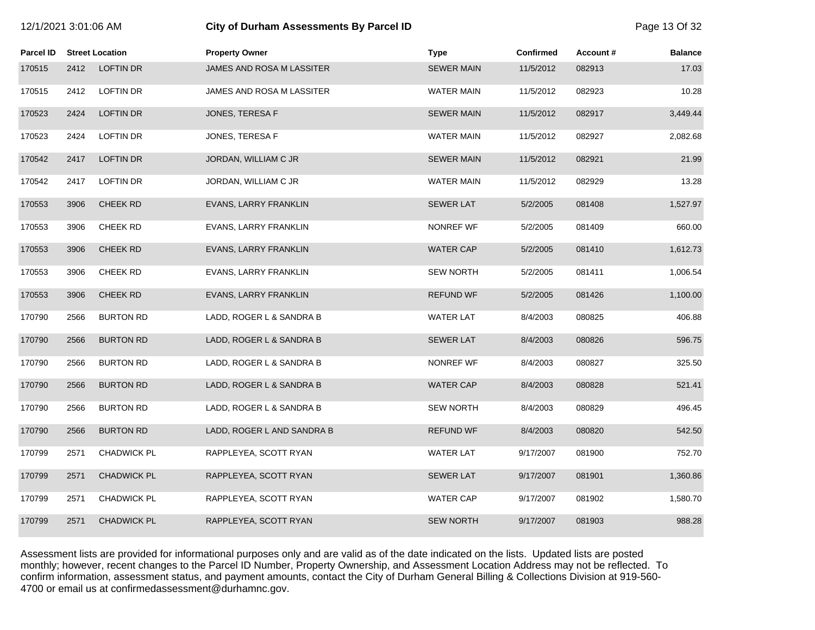|           | 12/1/2021 3:01:06 AM |                        | City of Durham Assessments By Parcel ID | Page 13 Of 32     |           |          |                |
|-----------|----------------------|------------------------|-----------------------------------------|-------------------|-----------|----------|----------------|
| Parcel ID |                      | <b>Street Location</b> | <b>Property Owner</b>                   | <b>Type</b>       | Confirmed | Account# | <b>Balance</b> |
| 170515    | 2412                 | LOFTIN DR              | JAMES AND ROSA M LASSITER               | <b>SEWER MAIN</b> | 11/5/2012 | 082913   | 17.03          |
| 170515    | 2412                 | <b>LOFTIN DR</b>       | JAMES AND ROSA M LASSITER               | <b>WATER MAIN</b> | 11/5/2012 | 082923   | 10.28          |
| 170523    | 2424                 | <b>LOFTIN DR</b>       | JONES, TERESA F                         | <b>SEWER MAIN</b> | 11/5/2012 | 082917   | 3,449.44       |
| 170523    | 2424                 | <b>LOFTIN DR</b>       | JONES, TERESA F                         | WATER MAIN        | 11/5/2012 | 082927   | 2,082.68       |
| 170542    | 2417                 | <b>LOFTIN DR</b>       | JORDAN, WILLIAM C JR                    | <b>SEWER MAIN</b> | 11/5/2012 | 082921   | 21.99          |
| 170542    | 2417                 | <b>LOFTIN DR</b>       | JORDAN, WILLIAM C JR                    | <b>WATER MAIN</b> | 11/5/2012 | 082929   | 13.28          |
| 170553    | 3906                 | CHEEK RD               | EVANS, LARRY FRANKLIN                   | <b>SEWER LAT</b>  | 5/2/2005  | 081408   | 1,527.97       |
| 170553    | 3906                 | CHEEK RD               | EVANS, LARRY FRANKLIN                   | <b>NONREF WF</b>  | 5/2/2005  | 081409   | 660.00         |
| 170553    | 3906                 | <b>CHEEK RD</b>        | EVANS, LARRY FRANKLIN                   | <b>WATER CAP</b>  | 5/2/2005  | 081410   | 1,612.73       |
| 170553    | 3906                 | <b>CHEEK RD</b>        | EVANS, LARRY FRANKLIN                   | <b>SEW NORTH</b>  | 5/2/2005  | 081411   | 1,006.54       |
| 170553    | 3906                 | <b>CHEEK RD</b>        | EVANS, LARRY FRANKLIN                   | <b>REFUND WF</b>  | 5/2/2005  | 081426   | 1,100.00       |
| 170790    | 2566                 | <b>BURTON RD</b>       | LADD, ROGER L & SANDRA B                | <b>WATER LAT</b>  | 8/4/2003  | 080825   | 406.88         |
| 170790    | 2566                 | <b>BURTON RD</b>       | LADD, ROGER L & SANDRA B                | <b>SEWER LAT</b>  | 8/4/2003  | 080826   | 596.75         |
| 170790    | 2566                 | <b>BURTON RD</b>       | LADD, ROGER L & SANDRA B                | <b>NONREF WF</b>  | 8/4/2003  | 080827   | 325.50         |
| 170790    | 2566                 | <b>BURTON RD</b>       | LADD, ROGER L & SANDRA B                | <b>WATER CAP</b>  | 8/4/2003  | 080828   | 521.41         |
| 170790    | 2566                 | <b>BURTON RD</b>       | LADD, ROGER L & SANDRA B                | <b>SEW NORTH</b>  | 8/4/2003  | 080829   | 496.45         |
| 170790    | 2566                 | <b>BURTON RD</b>       | LADD, ROGER L AND SANDRA B              | <b>REFUND WF</b>  | 8/4/2003  | 080820   | 542.50         |
| 170799    | 2571                 | CHADWICK PL            | RAPPLEYEA, SCOTT RYAN                   | <b>WATER LAT</b>  | 9/17/2007 | 081900   | 752.70         |
| 170799    | 2571                 | <b>CHADWICK PL</b>     | RAPPLEYEA, SCOTT RYAN                   | <b>SEWER LAT</b>  | 9/17/2007 | 081901   | 1,360.86       |
| 170799    | 2571                 | CHADWICK PL            | RAPPLEYEA, SCOTT RYAN                   | <b>WATER CAP</b>  | 9/17/2007 | 081902   | 1,580.70       |
| 170799    | 2571                 | <b>CHADWICK PL</b>     | RAPPLEYEA, SCOTT RYAN                   | <b>SEW NORTH</b>  | 9/17/2007 | 081903   | 988.28         |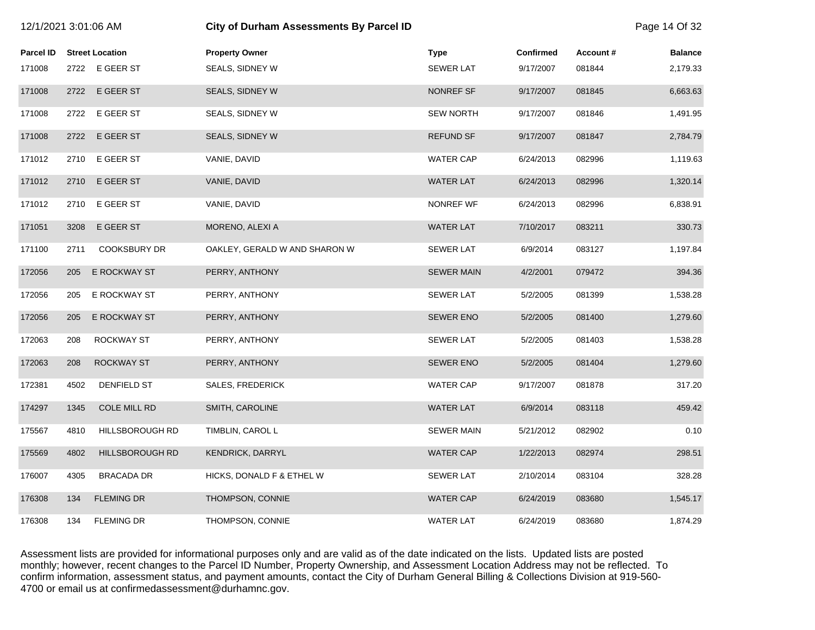| 12/1/2021 3:01:06 AM |      |                        | City of Durham Assessments By Parcel ID |                   |                  |          | Page 14 Of 32  |
|----------------------|------|------------------------|-----------------------------------------|-------------------|------------------|----------|----------------|
| <b>Parcel ID</b>     |      | <b>Street Location</b> | <b>Property Owner</b>                   | <b>Type</b>       | <b>Confirmed</b> | Account# | <b>Balance</b> |
| 171008               |      | 2722 E GEER ST         | SEALS, SIDNEY W                         | SEWER LAT         | 9/17/2007        | 081844   | 2,179.33       |
| 171008               | 2722 | E GEER ST              | SEALS, SIDNEY W                         | NONREF SF         | 9/17/2007        | 081845   | 6,663.63       |
| 171008               | 2722 | E GEER ST              | SEALS, SIDNEY W                         | <b>SEW NORTH</b>  | 9/17/2007        | 081846   | 1,491.95       |
| 171008               | 2722 | E GEER ST              | SEALS, SIDNEY W                         | <b>REFUND SF</b>  | 9/17/2007        | 081847   | 2,784.79       |
| 171012               | 2710 | E GEER ST              | VANIE, DAVID                            | <b>WATER CAP</b>  | 6/24/2013        | 082996   | 1,119.63       |
| 171012               | 2710 | E GEER ST              | VANIE, DAVID                            | <b>WATER LAT</b>  | 6/24/2013        | 082996   | 1,320.14       |
| 171012               | 2710 | E GEER ST              | VANIE, DAVID                            | NONREF WF         | 6/24/2013        | 082996   | 6,838.91       |
| 171051               | 3208 | E GEER ST              | MORENO, ALEXI A                         | <b>WATER LAT</b>  | 7/10/2017        | 083211   | 330.73         |
| 171100               | 2711 | <b>COOKSBURY DR</b>    | OAKLEY, GERALD W AND SHARON W           | <b>SEWER LAT</b>  | 6/9/2014         | 083127   | 1,197.84       |
| 172056               | 205  | E ROCKWAY ST           | PERRY, ANTHONY                          | <b>SEWER MAIN</b> | 4/2/2001         | 079472   | 394.36         |
| 172056               | 205  | E ROCKWAY ST           | PERRY, ANTHONY                          | <b>SEWER LAT</b>  | 5/2/2005         | 081399   | 1,538.28       |
| 172056               | 205  | E ROCKWAY ST           | PERRY, ANTHONY                          | SEWER ENO         | 5/2/2005         | 081400   | 1,279.60       |
| 172063               | 208  | <b>ROCKWAY ST</b>      | PERRY, ANTHONY                          | SEWER LAT         | 5/2/2005         | 081403   | 1,538.28       |
| 172063               | 208  | <b>ROCKWAY ST</b>      | PERRY, ANTHONY                          | <b>SEWER ENO</b>  | 5/2/2005         | 081404   | 1,279.60       |
| 172381               | 4502 | DENFIELD ST            | <b>SALES, FREDERICK</b>                 | <b>WATER CAP</b>  | 9/17/2007        | 081878   | 317.20         |
| 174297               | 1345 | COLE MILL RD           | SMITH, CAROLINE                         | <b>WATER LAT</b>  | 6/9/2014         | 083118   | 459.42         |
| 175567               | 4810 | HILLSBOROUGH RD        | TIMBLIN, CAROL L                        | <b>SEWER MAIN</b> | 5/21/2012        | 082902   | 0.10           |
| 175569               | 4802 | <b>HILLSBOROUGH RD</b> | <b>KENDRICK, DARRYL</b>                 | <b>WATER CAP</b>  | 1/22/2013        | 082974   | 298.51         |
| 176007               | 4305 | <b>BRACADA DR</b>      | HICKS, DONALD F & ETHEL W               | <b>SEWER LAT</b>  | 2/10/2014        | 083104   | 328.28         |
| 176308               | 134  | <b>FLEMING DR</b>      | THOMPSON, CONNIE                        | <b>WATER CAP</b>  | 6/24/2019        | 083680   | 1,545.17       |
| 176308               | 134  | <b>FLEMING DR</b>      | THOMPSON, CONNIE                        | <b>WATER LAT</b>  | 6/24/2019        | 083680   | 1,874.29       |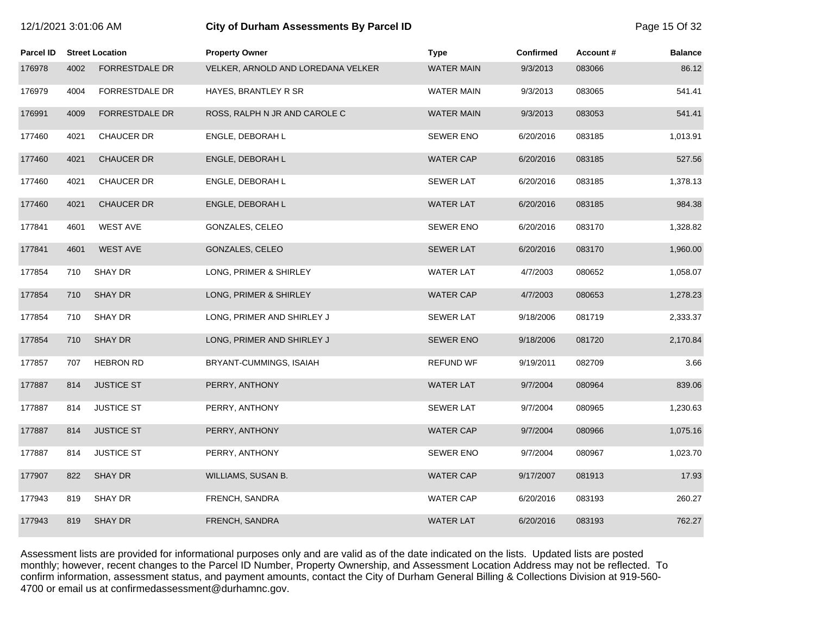| 2/1/2021 3:01:06 AM |  |
|---------------------|--|
|                     |  |

## 12/1/2021 3:01:06 AM **City of Durham Assessments By Parcel ID** Page 15 Of 32

| <b>Parcel ID</b> |      | <b>Street Location</b> | <b>Property Owner</b>              | <b>Type</b>       | <b>Confirmed</b> | Account # | <b>Balance</b> |
|------------------|------|------------------------|------------------------------------|-------------------|------------------|-----------|----------------|
| 176978           | 4002 | <b>FORRESTDALE DR</b>  | VELKER, ARNOLD AND LOREDANA VELKER | <b>WATER MAIN</b> | 9/3/2013         | 083066    | 86.12          |
| 176979           | 4004 | FORRESTDALE DR         | HAYES, BRANTLEY R SR               | WATER MAIN        | 9/3/2013         | 083065    | 541.41         |
| 176991           | 4009 | <b>FORRESTDALE DR</b>  | ROSS, RALPH N JR AND CAROLE C      | <b>WATER MAIN</b> | 9/3/2013         | 083053    | 541.41         |
| 177460           | 4021 | CHAUCER DR             | ENGLE, DEBORAH L                   | <b>SEWER ENO</b>  | 6/20/2016        | 083185    | 1,013.91       |
| 177460           | 4021 | <b>CHAUCER DR</b>      | ENGLE, DEBORAH L                   | <b>WATER CAP</b>  | 6/20/2016        | 083185    | 527.56         |
| 177460           | 4021 | CHAUCER DR             | ENGLE, DEBORAH L                   | <b>SEWER LAT</b>  | 6/20/2016        | 083185    | 1,378.13       |
| 177460           | 4021 | <b>CHAUCER DR</b>      | ENGLE, DEBORAH L                   | <b>WATER LAT</b>  | 6/20/2016        | 083185    | 984.38         |
| 177841           | 4601 | <b>WEST AVE</b>        | GONZALES, CELEO                    | <b>SEWER ENO</b>  | 6/20/2016        | 083170    | 1,328.82       |
| 177841           | 4601 | <b>WEST AVE</b>        | GONZALES, CELEO                    | <b>SEWER LAT</b>  | 6/20/2016        | 083170    | 1,960.00       |
| 177854           | 710  | SHAY DR                | LONG, PRIMER & SHIRLEY             | <b>WATER LAT</b>  | 4/7/2003         | 080652    | 1,058.07       |
| 177854           | 710  | <b>SHAY DR</b>         | LONG, PRIMER & SHIRLEY             | <b>WATER CAP</b>  | 4/7/2003         | 080653    | 1,278.23       |
| 177854           | 710  | SHAY DR                | LONG, PRIMER AND SHIRLEY J         | <b>SEWER LAT</b>  | 9/18/2006        | 081719    | 2,333.37       |
| 177854           | 710  | <b>SHAY DR</b>         | LONG, PRIMER AND SHIRLEY J         | <b>SEWER ENO</b>  | 9/18/2006        | 081720    | 2,170.84       |
| 177857           | 707  | <b>HEBRON RD</b>       | BRYANT-CUMMINGS, ISAIAH            | <b>REFUND WF</b>  | 9/19/2011        | 082709    | 3.66           |
| 177887           | 814  | <b>JUSTICE ST</b>      | PERRY, ANTHONY                     | <b>WATER LAT</b>  | 9/7/2004         | 080964    | 839.06         |
| 177887           | 814  | <b>JUSTICE ST</b>      | PERRY, ANTHONY                     | <b>SEWER LAT</b>  | 9/7/2004         | 080965    | 1,230.63       |
| 177887           | 814  | <b>JUSTICE ST</b>      | PERRY, ANTHONY                     | <b>WATER CAP</b>  | 9/7/2004         | 080966    | 1,075.16       |
| 177887           | 814  | <b>JUSTICE ST</b>      | PERRY, ANTHONY                     | <b>SEWER ENO</b>  | 9/7/2004         | 080967    | 1,023.70       |
| 177907           | 822  | <b>SHAY DR</b>         | WILLIAMS, SUSAN B.                 | <b>WATER CAP</b>  | 9/17/2007        | 081913    | 17.93          |
| 177943           | 819  | SHAY DR                | FRENCH, SANDRA                     | <b>WATER CAP</b>  | 6/20/2016        | 083193    | 260.27         |
| 177943           | 819  | <b>SHAY DR</b>         | FRENCH, SANDRA                     | <b>WATER LAT</b>  | 6/20/2016        | 083193    | 762.27         |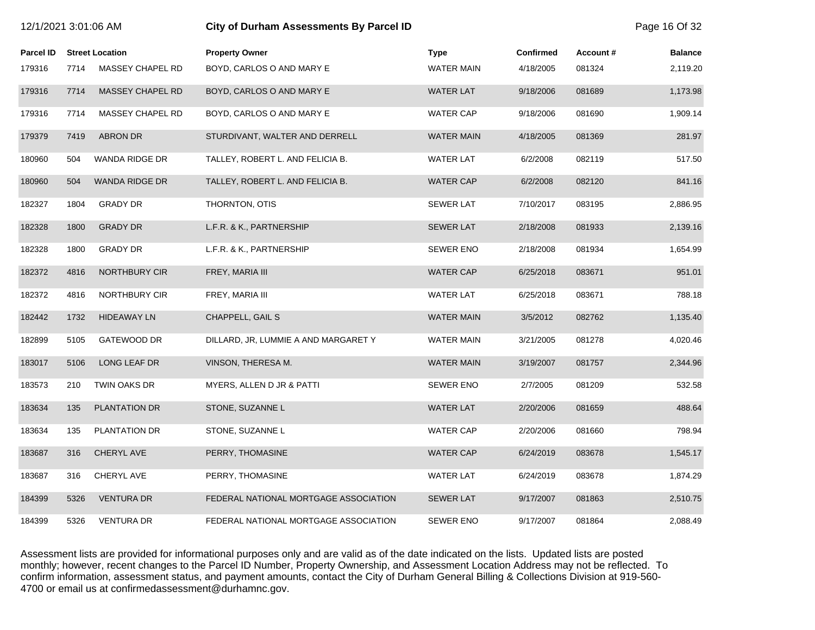| 12/1/2021 3:01:06 AM |      |                        | City of Durham Assessments By Parcel ID |                   |                  | Page 16 Of 32 |                |  |
|----------------------|------|------------------------|-----------------------------------------|-------------------|------------------|---------------|----------------|--|
| Parcel ID            |      | <b>Street Location</b> | <b>Property Owner</b>                   | <b>Type</b>       | <b>Confirmed</b> | Account#      | <b>Balance</b> |  |
| 179316               | 7714 | MASSEY CHAPEL RD       | BOYD, CARLOS O AND MARY E               | <b>WATER MAIN</b> | 4/18/2005        | 081324        | 2,119.20       |  |
| 179316               | 7714 | MASSEY CHAPEL RD       | BOYD, CARLOS O AND MARY E               | <b>WATER LAT</b>  | 9/18/2006        | 081689        | 1,173.98       |  |
| 179316               | 7714 | MASSEY CHAPEL RD       | BOYD, CARLOS O AND MARY E               | <b>WATER CAP</b>  | 9/18/2006        | 081690        | 1,909.14       |  |
| 179379               | 7419 | <b>ABRON DR</b>        | STURDIVANT, WALTER AND DERRELL          | <b>WATER MAIN</b> | 4/18/2005        | 081369        | 281.97         |  |
| 180960               | 504  | WANDA RIDGE DR         | TALLEY, ROBERT L. AND FELICIA B.        | <b>WATER LAT</b>  | 6/2/2008         | 082119        | 517.50         |  |
| 180960               | 504  | WANDA RIDGE DR         | TALLEY, ROBERT L. AND FELICIA B.        | <b>WATER CAP</b>  | 6/2/2008         | 082120        | 841.16         |  |
| 182327               | 1804 | <b>GRADY DR</b>        | THORNTON, OTIS                          | <b>SEWER LAT</b>  | 7/10/2017        | 083195        | 2,886.95       |  |
| 182328               | 1800 | <b>GRADY DR</b>        | L.F.R. & K., PARTNERSHIP                | <b>SEWER LAT</b>  | 2/18/2008        | 081933        | 2,139.16       |  |
| 182328               | 1800 | <b>GRADY DR</b>        | L.F.R. & K., PARTNERSHIP                | <b>SEWER ENO</b>  | 2/18/2008        | 081934        | 1,654.99       |  |
| 182372               | 4816 | NORTHBURY CIR          | FREY, MARIA III                         | <b>WATER CAP</b>  | 6/25/2018        | 083671        | 951.01         |  |
| 182372               | 4816 | NORTHBURY CIR          | FREY, MARIA III                         | <b>WATER LAT</b>  | 6/25/2018        | 083671        | 788.18         |  |
| 182442               | 1732 | <b>HIDEAWAY LN</b>     | CHAPPELL, GAIL S                        | <b>WATER MAIN</b> | 3/5/2012         | 082762        | 1,135.40       |  |
| 182899               | 5105 | GATEWOOD DR            | DILLARD, JR, LUMMIE A AND MARGARET Y    | <b>WATER MAIN</b> | 3/21/2005        | 081278        | 4,020.46       |  |
| 183017               | 5106 | LONG LEAF DR           | VINSON, THERESA M.                      | <b>WATER MAIN</b> | 3/19/2007        | 081757        | 2,344.96       |  |
| 183573               | 210  | TWIN OAKS DR           | MYERS, ALLEN D JR & PATTI               | <b>SEWER ENO</b>  | 2/7/2005         | 081209        | 532.58         |  |
| 183634               | 135  | <b>PLANTATION DR</b>   | STONE, SUZANNE L                        | <b>WATER LAT</b>  | 2/20/2006        | 081659        | 488.64         |  |
| 183634               | 135  | PLANTATION DR          | STONE, SUZANNE L                        | <b>WATER CAP</b>  | 2/20/2006        | 081660        | 798.94         |  |
| 183687               | 316  | CHERYL AVE             | PERRY, THOMASINE                        | <b>WATER CAP</b>  | 6/24/2019        | 083678        | 1,545.17       |  |
| 183687               | 316  | CHERYL AVE             | PERRY, THOMASINE                        | <b>WATER LAT</b>  | 6/24/2019        | 083678        | 1,874.29       |  |
| 184399               | 5326 | <b>VENTURA DR</b>      | FEDERAL NATIONAL MORTGAGE ASSOCIATION   | <b>SEWER LAT</b>  | 9/17/2007        | 081863        | 2,510.75       |  |
| 184399               | 5326 | <b>VENTURA DR</b>      | FEDERAL NATIONAL MORTGAGE ASSOCIATION   | <b>SEWER ENO</b>  | 9/17/2007        | 081864        | 2,088.49       |  |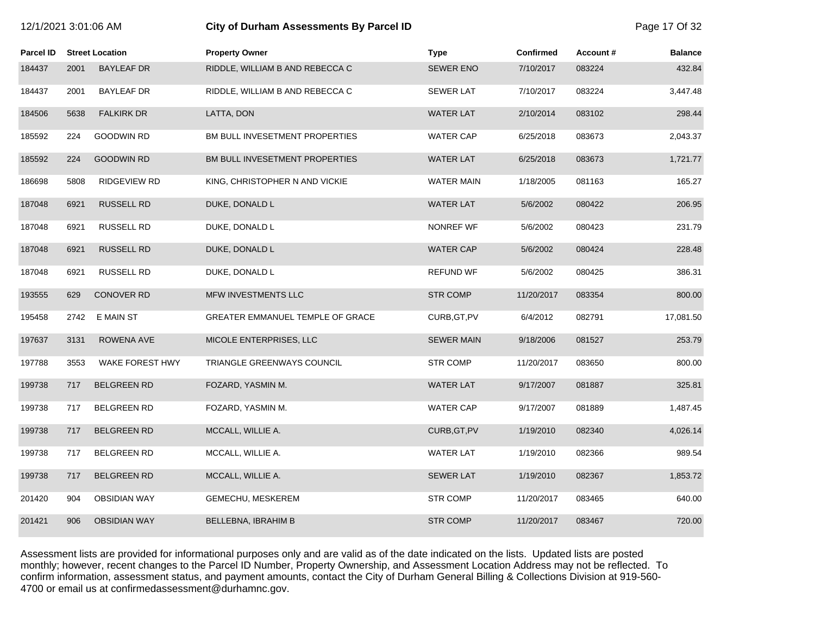|                  | 12/1/2021 3:01:06 AM |                        | City of Durham Assessments By Parcel ID |                   |                  |          | Page 17 Of 32  |
|------------------|----------------------|------------------------|-----------------------------------------|-------------------|------------------|----------|----------------|
| <b>Parcel ID</b> |                      | <b>Street Location</b> | <b>Property Owner</b>                   | <b>Type</b>       | <b>Confirmed</b> | Account# | <b>Balance</b> |
| 184437           | 2001                 | <b>BAYLEAF DR</b>      | RIDDLE, WILLIAM B AND REBECCA C         | <b>SEWER ENO</b>  | 7/10/2017        | 083224   | 432.84         |
| 184437           | 2001                 | <b>BAYLEAF DR</b>      | RIDDLE, WILLIAM B AND REBECCA C         | <b>SEWER LAT</b>  | 7/10/2017        | 083224   | 3,447.48       |
| 184506           | 5638                 | <b>FALKIRK DR</b>      | LATTA, DON                              | <b>WATER LAT</b>  | 2/10/2014        | 083102   | 298.44         |
| 185592           | 224                  | GOODWIN RD             | BM BULL INVESETMENT PROPERTIES          | WATER CAP         | 6/25/2018        | 083673   | 2,043.37       |
| 185592           | 224                  | <b>GOODWIN RD</b>      | BM BULL INVESETMENT PROPERTIES          | <b>WATER LAT</b>  | 6/25/2018        | 083673   | 1,721.77       |
| 186698           | 5808                 | <b>RIDGEVIEW RD</b>    | KING, CHRISTOPHER N AND VICKIE          | <b>WATER MAIN</b> | 1/18/2005        | 081163   | 165.27         |
| 187048           | 6921                 | <b>RUSSELL RD</b>      | DUKE, DONALD L                          | <b>WATER LAT</b>  | 5/6/2002         | 080422   | 206.95         |
| 187048           | 6921                 | RUSSELL RD             | DUKE, DONALD L                          | NONREF WF         | 5/6/2002         | 080423   | 231.79         |
| 187048           | 6921                 | <b>RUSSELL RD</b>      | DUKE, DONALD L                          | <b>WATER CAP</b>  | 5/6/2002         | 080424   | 228.48         |
| 187048           | 6921                 | RUSSELL RD             | DUKE, DONALD L                          | <b>REFUND WF</b>  | 5/6/2002         | 080425   | 386.31         |
| 193555           | 629                  | <b>CONOVER RD</b>      | MFW INVESTMENTS LLC                     | <b>STR COMP</b>   | 11/20/2017       | 083354   | 800.00         |
| 195458           | 2742                 | E MAIN ST              | GREATER EMMANUEL TEMPLE OF GRACE        | CURB, GT, PV      | 6/4/2012         | 082791   | 17,081.50      |
| 197637           | 3131                 | ROWENA AVE             | MICOLE ENTERPRISES, LLC                 | <b>SEWER MAIN</b> | 9/18/2006        | 081527   | 253.79         |
| 197788           | 3553                 | WAKE FOREST HWY        | TRIANGLE GREENWAYS COUNCIL              | <b>STR COMP</b>   | 11/20/2017       | 083650   | 800.00         |
| 199738           | 717                  | <b>BELGREEN RD</b>     | FOZARD, YASMIN M.                       | <b>WATER LAT</b>  | 9/17/2007        | 081887   | 325.81         |
| 199738           | 717                  | <b>BELGREEN RD</b>     | FOZARD, YASMIN M.                       | <b>WATER CAP</b>  | 9/17/2007        | 081889   | 1,487.45       |
| 199738           | 717                  | <b>BELGREEN RD</b>     | MCCALL, WILLIE A.                       | CURB, GT, PV      | 1/19/2010        | 082340   | 4,026.14       |
| 199738           | 717                  | <b>BELGREEN RD</b>     | MCCALL, WILLIE A.                       | <b>WATER LAT</b>  | 1/19/2010        | 082366   | 989.54         |
| 199738           | 717                  | <b>BELGREEN RD</b>     | MCCALL, WILLIE A.                       | <b>SEWER LAT</b>  | 1/19/2010        | 082367   | 1,853.72       |
| 201420           | 904                  | <b>OBSIDIAN WAY</b>    | GEMECHU, MESKEREM                       | <b>STR COMP</b>   | 11/20/2017       | 083465   | 640.00         |
| 201421           | 906                  | <b>OBSIDIAN WAY</b>    | <b>BELLEBNA, IBRAHIM B</b>              | <b>STR COMP</b>   | 11/20/2017       | 083467   | 720.00         |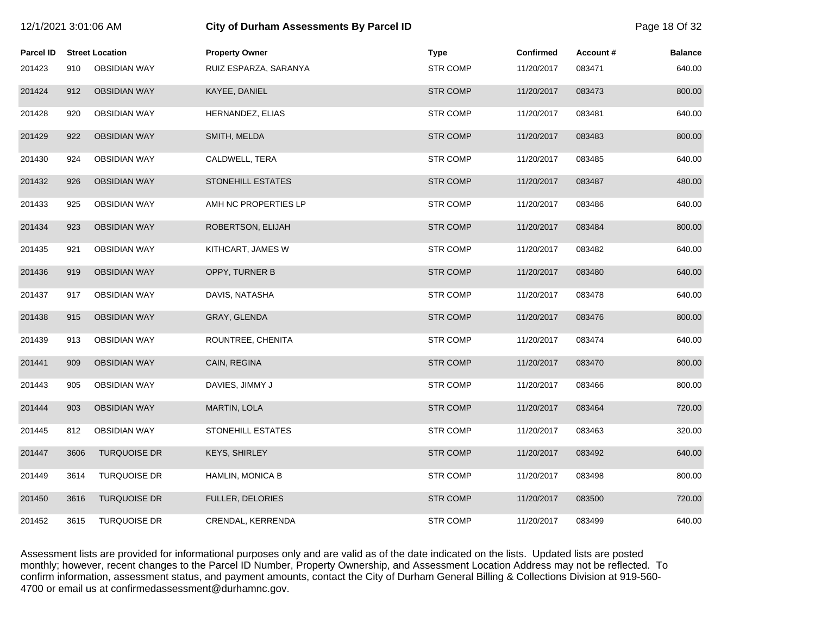| 12/1/2021 3:01:06 AM |      |                        | City of Durham Assessments By Parcel ID |                 |                  |          | Page 18 Of 32  |  |
|----------------------|------|------------------------|-----------------------------------------|-----------------|------------------|----------|----------------|--|
| <b>Parcel ID</b>     |      | <b>Street Location</b> | <b>Property Owner</b>                   | <b>Type</b>     | <b>Confirmed</b> | Account# | <b>Balance</b> |  |
| 201423               | 910  | <b>OBSIDIAN WAY</b>    | RUIZ ESPARZA, SARANYA                   | <b>STR COMP</b> | 11/20/2017       | 083471   | 640.00         |  |
| 201424               | 912  | <b>OBSIDIAN WAY</b>    | KAYEE, DANIEL                           | <b>STR COMP</b> | 11/20/2017       | 083473   | 800.00         |  |
| 201428               | 920  | <b>OBSIDIAN WAY</b>    | HERNANDEZ, ELIAS                        | <b>STR COMP</b> | 11/20/2017       | 083481   | 640.00         |  |
| 201429               | 922  | <b>OBSIDIAN WAY</b>    | SMITH, MELDA                            | <b>STR COMP</b> | 11/20/2017       | 083483   | 800.00         |  |
| 201430               | 924  | OBSIDIAN WAY           | CALDWELL, TERA                          | <b>STR COMP</b> | 11/20/2017       | 083485   | 640.00         |  |
| 201432               | 926  | <b>OBSIDIAN WAY</b>    | <b>STONEHILL ESTATES</b>                | <b>STR COMP</b> | 11/20/2017       | 083487   | 480.00         |  |
| 201433               | 925  | <b>OBSIDIAN WAY</b>    | AMH NC PROPERTIES LP                    | <b>STR COMP</b> | 11/20/2017       | 083486   | 640.00         |  |
| 201434               | 923  | <b>OBSIDIAN WAY</b>    | ROBERTSON, ELIJAH                       | <b>STR COMP</b> | 11/20/2017       | 083484   | 800.00         |  |
| 201435               | 921  | <b>OBSIDIAN WAY</b>    | KITHCART, JAMES W                       | <b>STR COMP</b> | 11/20/2017       | 083482   | 640.00         |  |
| 201436               | 919  | <b>OBSIDIAN WAY</b>    | OPPY, TURNER B                          | <b>STR COMP</b> | 11/20/2017       | 083480   | 640.00         |  |
| 201437               | 917  | <b>OBSIDIAN WAY</b>    | DAVIS, NATASHA                          | <b>STR COMP</b> | 11/20/2017       | 083478   | 640.00         |  |
| 201438               | 915  | <b>OBSIDIAN WAY</b>    | GRAY, GLENDA                            | <b>STR COMP</b> | 11/20/2017       | 083476   | 800.00         |  |
| 201439               | 913  | <b>OBSIDIAN WAY</b>    | ROUNTREE, CHENITA                       | <b>STR COMP</b> | 11/20/2017       | 083474   | 640.00         |  |
| 201441               | 909  | <b>OBSIDIAN WAY</b>    | CAIN, REGINA                            | <b>STR COMP</b> | 11/20/2017       | 083470   | 800.00         |  |
| 201443               | 905  | <b>OBSIDIAN WAY</b>    | DAVIES, JIMMY J                         | <b>STR COMP</b> | 11/20/2017       | 083466   | 800.00         |  |
| 201444               | 903  | <b>OBSIDIAN WAY</b>    | MARTIN, LOLA                            | <b>STR COMP</b> | 11/20/2017       | 083464   | 720.00         |  |
| 201445               | 812  | <b>OBSIDIAN WAY</b>    | STONEHILL ESTATES                       | <b>STR COMP</b> | 11/20/2017       | 083463   | 320.00         |  |
| 201447               | 3606 | <b>TURQUOISE DR</b>    | KEYS, SHIRLEY                           | <b>STR COMP</b> | 11/20/2017       | 083492   | 640.00         |  |
| 201449               | 3614 | <b>TURQUOISE DR</b>    | HAMLIN, MONICA B                        | <b>STR COMP</b> | 11/20/2017       | 083498   | 800.00         |  |
| 201450               | 3616 | <b>TURQUOISE DR</b>    | FULLER, DELORIES                        | <b>STR COMP</b> | 11/20/2017       | 083500   | 720.00         |  |
| 201452               | 3615 | <b>TURQUOISE DR</b>    | CRENDAL, KERRENDA                       | <b>STR COMP</b> | 11/20/2017       | 083499   | 640.00         |  |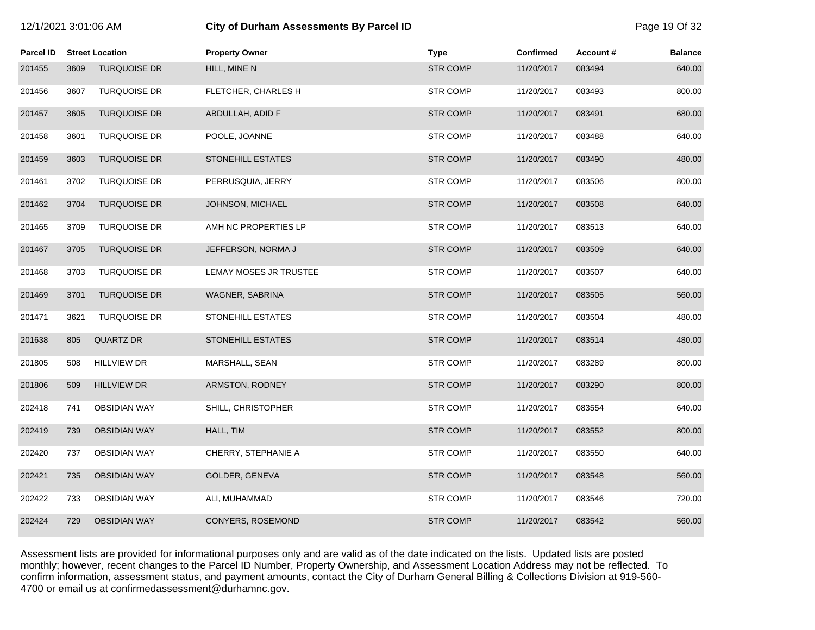| 12/1/2021 3:01:06 AM |      |                        | <b>City of Durham Assessments By Parcel ID</b> |                 |            |          | Page 19 Of 32  |
|----------------------|------|------------------------|------------------------------------------------|-----------------|------------|----------|----------------|
| Parcel ID            |      | <b>Street Location</b> | <b>Property Owner</b>                          | Type            | Confirmed  | Account# | <b>Balance</b> |
| 201455               | 3609 | <b>TURQUOISE DR</b>    | HILL, MINE N                                   | <b>STR COMP</b> | 11/20/2017 | 083494   | 640.00         |
| 201456               | 3607 | <b>TURQUOISE DR</b>    | FLETCHER, CHARLES H                            | <b>STR COMP</b> | 11/20/2017 | 083493   | 800.00         |
| 201457               | 3605 | <b>TURQUOISE DR</b>    | ABDULLAH, ADID F                               | <b>STR COMP</b> | 11/20/2017 | 083491   | 680.00         |
| 201458               | 3601 | <b>TURQUOISE DR</b>    | POOLE, JOANNE                                  | <b>STR COMP</b> | 11/20/2017 | 083488   | 640.00         |
| 201459               | 3603 | <b>TURQUOISE DR</b>    | <b>STONEHILL ESTATES</b>                       | <b>STR COMP</b> | 11/20/2017 | 083490   | 480.00         |
| 201461               | 3702 | <b>TURQUOISE DR</b>    | PERRUSQUIA, JERRY                              | <b>STR COMP</b> | 11/20/2017 | 083506   | 800.00         |
| 201462               | 3704 | <b>TURQUOISE DR</b>    | JOHNSON, MICHAEL                               | <b>STR COMP</b> | 11/20/2017 | 083508   | 640.00         |
| 201465               | 3709 | <b>TURQUOISE DR</b>    | AMH NC PROPERTIES LP                           | <b>STR COMP</b> | 11/20/2017 | 083513   | 640.00         |
| 201467               | 3705 | <b>TURQUOISE DR</b>    | JEFFERSON, NORMA J                             | <b>STR COMP</b> | 11/20/2017 | 083509   | 640.00         |
| 201468               | 3703 | <b>TURQUOISE DR</b>    | LEMAY MOSES JR TRUSTEE                         | <b>STR COMP</b> | 11/20/2017 | 083507   | 640.00         |
| 201469               | 3701 | <b>TURQUOISE DR</b>    | WAGNER, SABRINA                                | <b>STR COMP</b> | 11/20/2017 | 083505   | 560.00         |
| 201471               | 3621 | <b>TURQUOISE DR</b>    | <b>STONEHILL ESTATES</b>                       | <b>STR COMP</b> | 11/20/2017 | 083504   | 480.00         |
| 201638               | 805  | <b>QUARTZ DR</b>       | <b>STONEHILL ESTATES</b>                       | <b>STR COMP</b> | 11/20/2017 | 083514   | 480.00         |
| 201805               | 508  | <b>HILLVIEW DR</b>     | MARSHALL, SEAN                                 | <b>STR COMP</b> | 11/20/2017 | 083289   | 800.00         |
| 201806               | 509  | <b>HILLVIEW DR</b>     | ARMSTON, RODNEY                                | <b>STR COMP</b> | 11/20/2017 | 083290   | 800.00         |
| 202418               | 741  | <b>OBSIDIAN WAY</b>    | SHILL, CHRISTOPHER                             | <b>STR COMP</b> | 11/20/2017 | 083554   | 640.00         |
| 202419               | 739  | <b>OBSIDIAN WAY</b>    | HALL, TIM                                      | <b>STR COMP</b> | 11/20/2017 | 083552   | 800.00         |
| 202420               | 737  | <b>OBSIDIAN WAY</b>    | CHERRY, STEPHANIE A                            | <b>STR COMP</b> | 11/20/2017 | 083550   | 640.00         |
| 202421               | 735  | <b>OBSIDIAN WAY</b>    | GOLDER, GENEVA                                 | <b>STR COMP</b> | 11/20/2017 | 083548   | 560.00         |
| 202422               | 733  | <b>OBSIDIAN WAY</b>    | ALI, MUHAMMAD                                  | <b>STR COMP</b> | 11/20/2017 | 083546   | 720.00         |
| 202424               | 729  | <b>OBSIDIAN WAY</b>    | CONYERS, ROSEMOND                              | <b>STR COMP</b> | 11/20/2017 | 083542   | 560.00         |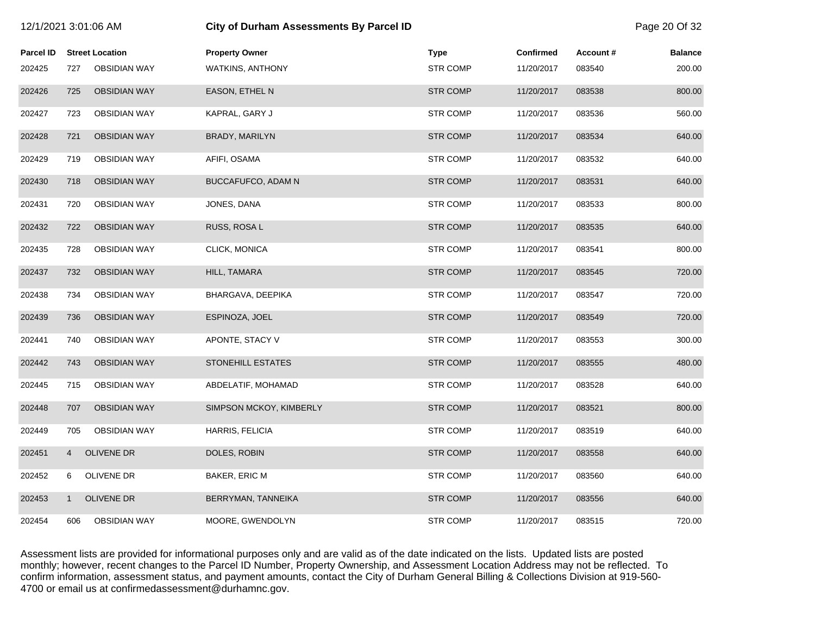| 12/1/2021 3:01:06 AM |                |                        | <b>City of Durham Assessments By Parcel ID</b> |                 |                  |          | Page 20 Of 32  |  |
|----------------------|----------------|------------------------|------------------------------------------------|-----------------|------------------|----------|----------------|--|
| <b>Parcel ID</b>     |                | <b>Street Location</b> | <b>Property Owner</b>                          | <b>Type</b>     | <b>Confirmed</b> | Account# | <b>Balance</b> |  |
| 202425               | 727            | <b>OBSIDIAN WAY</b>    | <b>WATKINS, ANTHONY</b>                        | <b>STR COMP</b> | 11/20/2017       | 083540   | 200.00         |  |
| 202426               | 725            | <b>OBSIDIAN WAY</b>    | <b>EASON, ETHEL N</b>                          | <b>STR COMP</b> | 11/20/2017       | 083538   | 800.00         |  |
| 202427               | 723            | <b>OBSIDIAN WAY</b>    | KAPRAL, GARY J                                 | <b>STR COMP</b> | 11/20/2017       | 083536   | 560.00         |  |
| 202428               | 721            | <b>OBSIDIAN WAY</b>    | BRADY, MARILYN                                 | <b>STR COMP</b> | 11/20/2017       | 083534   | 640.00         |  |
| 202429               | 719            | <b>OBSIDIAN WAY</b>    | AFIFI, OSAMA                                   | <b>STR COMP</b> | 11/20/2017       | 083532   | 640.00         |  |
| 202430               | 718            | <b>OBSIDIAN WAY</b>    | BUCCAFUFCO, ADAM N                             | <b>STR COMP</b> | 11/20/2017       | 083531   | 640.00         |  |
| 202431               | 720            | <b>OBSIDIAN WAY</b>    | JONES, DANA                                    | <b>STR COMP</b> | 11/20/2017       | 083533   | 800.00         |  |
| 202432               | 722            | <b>OBSIDIAN WAY</b>    | RUSS, ROSA L                                   | <b>STR COMP</b> | 11/20/2017       | 083535   | 640.00         |  |
| 202435               | 728            | <b>OBSIDIAN WAY</b>    | CLICK, MONICA                                  | <b>STR COMP</b> | 11/20/2017       | 083541   | 800.00         |  |
| 202437               | 732            | <b>OBSIDIAN WAY</b>    | HILL, TAMARA                                   | <b>STR COMP</b> | 11/20/2017       | 083545   | 720.00         |  |
| 202438               | 734            | <b>OBSIDIAN WAY</b>    | BHARGAVA, DEEPIKA                              | <b>STR COMP</b> | 11/20/2017       | 083547   | 720.00         |  |
| 202439               | 736            | <b>OBSIDIAN WAY</b>    | ESPINOZA, JOEL                                 | <b>STR COMP</b> | 11/20/2017       | 083549   | 720.00         |  |
| 202441               | 740            | <b>OBSIDIAN WAY</b>    | APONTE, STACY V                                | <b>STR COMP</b> | 11/20/2017       | 083553   | 300.00         |  |
| 202442               | 743            | <b>OBSIDIAN WAY</b>    | <b>STONEHILL ESTATES</b>                       | <b>STR COMP</b> | 11/20/2017       | 083555   | 480.00         |  |
| 202445               | 715            | <b>OBSIDIAN WAY</b>    | ABDELATIF, MOHAMAD                             | <b>STR COMP</b> | 11/20/2017       | 083528   | 640.00         |  |
| 202448               | 707            | <b>OBSIDIAN WAY</b>    | SIMPSON MCKOY, KIMBERLY                        | <b>STR COMP</b> | 11/20/2017       | 083521   | 800.00         |  |
| 202449               | 705            | <b>OBSIDIAN WAY</b>    | <b>HARRIS, FELICIA</b>                         | <b>STR COMP</b> | 11/20/2017       | 083519   | 640.00         |  |
| 202451               | $\overline{4}$ | <b>OLIVENE DR</b>      | DOLES, ROBIN                                   | <b>STR COMP</b> | 11/20/2017       | 083558   | 640.00         |  |
| 202452               | 6              | OLIVENE DR             | BAKER, ERIC M                                  | <b>STR COMP</b> | 11/20/2017       | 083560   | 640.00         |  |
| 202453               | $\mathbf{1}$   | <b>OLIVENE DR</b>      | BERRYMAN, TANNEIKA                             | <b>STR COMP</b> | 11/20/2017       | 083556   | 640.00         |  |
| 202454               | 606            | <b>OBSIDIAN WAY</b>    | MOORE, GWENDOLYN                               | <b>STR COMP</b> | 11/20/2017       | 083515   | 720.00         |  |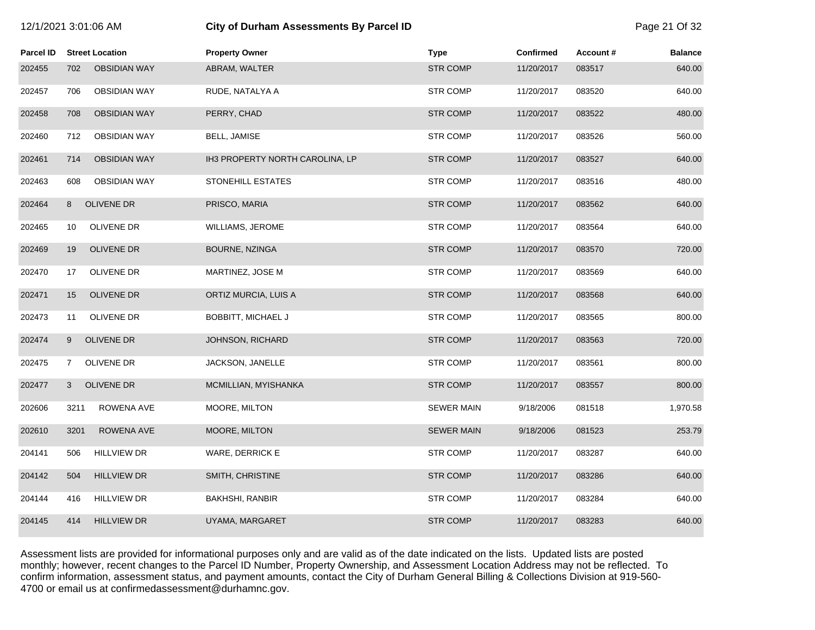# 12/1/2021 3:01:06 AM **City of Durham Assessments By Parcel ID** Page 21 Of 32

| Parcel ID | <b>Street Location</b>     | <b>Property Owner</b>           | <b>Type</b>       | <b>Confirmed</b> | Account# | <b>Balance</b> |
|-----------|----------------------------|---------------------------------|-------------------|------------------|----------|----------------|
| 202455    | <b>OBSIDIAN WAY</b><br>702 | ABRAM, WALTER                   | <b>STR COMP</b>   | 11/20/2017       | 083517   | 640.00         |
| 202457    | <b>OBSIDIAN WAY</b><br>706 | RUDE, NATALYA A                 | <b>STR COMP</b>   | 11/20/2017       | 083520   | 640.00         |
| 202458    | 708<br><b>OBSIDIAN WAY</b> | PERRY, CHAD                     | <b>STR COMP</b>   | 11/20/2017       | 083522   | 480.00         |
| 202460    | <b>OBSIDIAN WAY</b><br>712 | BELL, JAMISE                    | <b>STR COMP</b>   | 11/20/2017       | 083526   | 560.00         |
| 202461    | <b>OBSIDIAN WAY</b><br>714 | IH3 PROPERTY NORTH CAROLINA, LP | <b>STR COMP</b>   | 11/20/2017       | 083527   | 640.00         |
| 202463    | <b>OBSIDIAN WAY</b><br>608 | STONEHILL ESTATES               | <b>STR COMP</b>   | 11/20/2017       | 083516   | 480.00         |
| 202464    | <b>OLIVENE DR</b><br>8     | PRISCO, MARIA                   | <b>STR COMP</b>   | 11/20/2017       | 083562   | 640.00         |
| 202465    | <b>OLIVENE DR</b><br>10    | <b>WILLIAMS, JEROME</b>         | <b>STR COMP</b>   | 11/20/2017       | 083564   | 640.00         |
| 202469    | 19<br><b>OLIVENE DR</b>    | BOURNE, NZINGA                  | <b>STR COMP</b>   | 11/20/2017       | 083570   | 720.00         |
| 202470    | <b>OLIVENE DR</b><br>17    | MARTINEZ, JOSE M                | <b>STR COMP</b>   | 11/20/2017       | 083569   | 640.00         |
| 202471    | 15<br><b>OLIVENE DR</b>    | ORTIZ MURCIA, LUIS A            | <b>STR COMP</b>   | 11/20/2017       | 083568   | 640.00         |
| 202473    | <b>OLIVENE DR</b><br>11    | <b>BOBBITT, MICHAEL J</b>       | <b>STR COMP</b>   | 11/20/2017       | 083565   | 800.00         |
| 202474    | OLIVENE DR<br>9            | JOHNSON, RICHARD                | <b>STR COMP</b>   | 11/20/2017       | 083563   | 720.00         |
| 202475    | OLIVENE DR<br>$\mathbf{7}$ | JACKSON, JANELLE                | <b>STR COMP</b>   | 11/20/2017       | 083561   | 800.00         |
| 202477    | <b>OLIVENE DR</b><br>3     | MCMILLIAN, MYISHANKA            | <b>STR COMP</b>   | 11/20/2017       | 083557   | 800.00         |
| 202606    | 3211<br>ROWENA AVE         | MOORE, MILTON                   | <b>SEWER MAIN</b> | 9/18/2006        | 081518   | 1,970.58       |
| 202610    | 3201<br>ROWENA AVE         | MOORE, MILTON                   | <b>SEWER MAIN</b> | 9/18/2006        | 081523   | 253.79         |
| 204141    | <b>HILLVIEW DR</b><br>506  | WARE, DERRICK E                 | <b>STR COMP</b>   | 11/20/2017       | 083287   | 640.00         |
| 204142    | 504<br><b>HILLVIEW DR</b>  | SMITH, CHRISTINE                | <b>STR COMP</b>   | 11/20/2017       | 083286   | 640.00         |
| 204144    | 416<br><b>HILLVIEW DR</b>  | <b>BAKHSHI, RANBIR</b>          | <b>STR COMP</b>   | 11/20/2017       | 083284   | 640.00         |
| 204145    | 414<br><b>HILLVIEW DR</b>  | UYAMA, MARGARET                 | <b>STR COMP</b>   | 11/20/2017       | 083283   | 640.00         |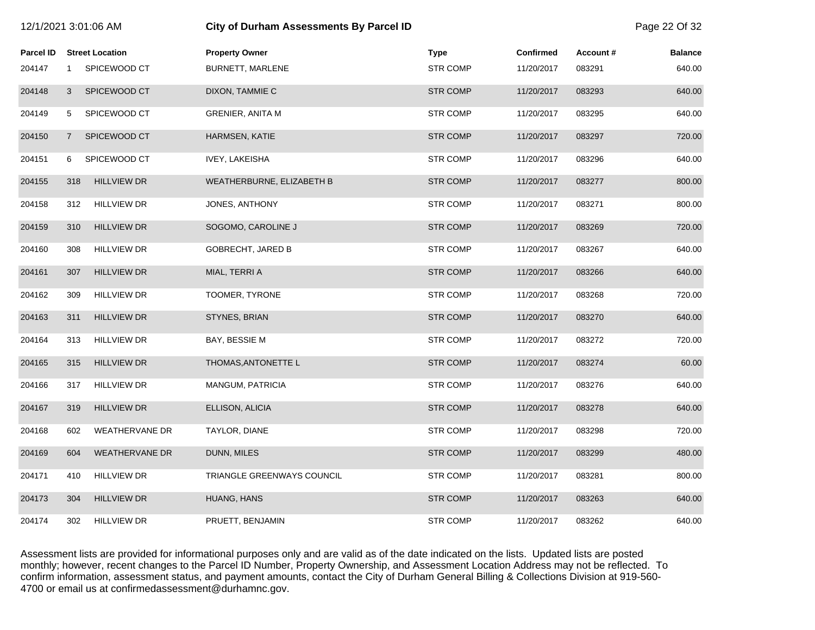| 12/1/2021 3:01:06 AM |                |                        | <b>City of Durham Assessments By Parcel ID</b> |                 |                  |          | Page 22 Of 32  |
|----------------------|----------------|------------------------|------------------------------------------------|-----------------|------------------|----------|----------------|
| <b>Parcel ID</b>     |                | <b>Street Location</b> | <b>Property Owner</b>                          | <b>Type</b>     | <b>Confirmed</b> | Account# | <b>Balance</b> |
| 204147               | $\mathbf{1}$   | SPICEWOOD CT           | BURNETT, MARLENE                               | <b>STR COMP</b> | 11/20/2017       | 083291   | 640.00         |
| 204148               | 3              | SPICEWOOD CT           | DIXON, TAMMIE C                                | <b>STR COMP</b> | 11/20/2017       | 083293   | 640.00         |
| 204149               | 5              | SPICEWOOD CT           | <b>GRENIER, ANITA M</b>                        | <b>STR COMP</b> | 11/20/2017       | 083295   | 640.00         |
| 204150               | $\overline{7}$ | SPICEWOOD CT           | <b>HARMSEN, KATIE</b>                          | <b>STR COMP</b> | 11/20/2017       | 083297   | 720.00         |
| 204151               | 6              | SPICEWOOD CT           | <b>IVEY, LAKEISHA</b>                          | <b>STR COMP</b> | 11/20/2017       | 083296   | 640.00         |
| 204155               | 318            | <b>HILLVIEW DR</b>     | WEATHERBURNE, ELIZABETH B                      | <b>STR COMP</b> | 11/20/2017       | 083277   | 800.00         |
| 204158               | 312            | <b>HILLVIEW DR</b>     | JONES, ANTHONY                                 | <b>STR COMP</b> | 11/20/2017       | 083271   | 800.00         |
| 204159               | 310            | <b>HILLVIEW DR</b>     | SOGOMO, CAROLINE J                             | <b>STR COMP</b> | 11/20/2017       | 083269   | 720.00         |
| 204160               | 308            | <b>HILLVIEW DR</b>     | <b>GOBRECHT, JARED B</b>                       | <b>STR COMP</b> | 11/20/2017       | 083267   | 640.00         |
| 204161               | 307            | <b>HILLVIEW DR</b>     | MIAL, TERRI A                                  | <b>STR COMP</b> | 11/20/2017       | 083266   | 640.00         |
| 204162               | 309            | <b>HILLVIEW DR</b>     | TOOMER, TYRONE                                 | <b>STR COMP</b> | 11/20/2017       | 083268   | 720.00         |
| 204163               | 311            | <b>HILLVIEW DR</b>     | STYNES, BRIAN                                  | <b>STR COMP</b> | 11/20/2017       | 083270   | 640.00         |
| 204164               | 313            | <b>HILLVIEW DR</b>     | BAY, BESSIE M                                  | <b>STR COMP</b> | 11/20/2017       | 083272   | 720.00         |
| 204165               | 315            | <b>HILLVIEW DR</b>     | THOMAS, ANTONETTE L                            | <b>STR COMP</b> | 11/20/2017       | 083274   | 60.00          |
| 204166               | 317            | <b>HILLVIEW DR</b>     | MANGUM, PATRICIA                               | <b>STR COMP</b> | 11/20/2017       | 083276   | 640.00         |
| 204167               | 319            | <b>HILLVIEW DR</b>     | ELLISON, ALICIA                                | <b>STR COMP</b> | 11/20/2017       | 083278   | 640.00         |
| 204168               | 602            | <b>WEATHERVANE DR</b>  | TAYLOR, DIANE                                  | <b>STR COMP</b> | 11/20/2017       | 083298   | 720.00         |
| 204169               | 604            | <b>WEATHERVANE DR</b>  | DUNN, MILES                                    | <b>STR COMP</b> | 11/20/2017       | 083299   | 480.00         |
| 204171               | 410            | <b>HILLVIEW DR</b>     | TRIANGLE GREENWAYS COUNCIL                     | <b>STR COMP</b> | 11/20/2017       | 083281   | 800.00         |
| 204173               | 304            | <b>HILLVIEW DR</b>     | HUANG, HANS                                    | <b>STR COMP</b> | 11/20/2017       | 083263   | 640.00         |
| 204174               | 302            | <b>HILLVIEW DR</b>     | PRUETT, BENJAMIN                               | <b>STR COMP</b> | 11/20/2017       | 083262   | 640.00         |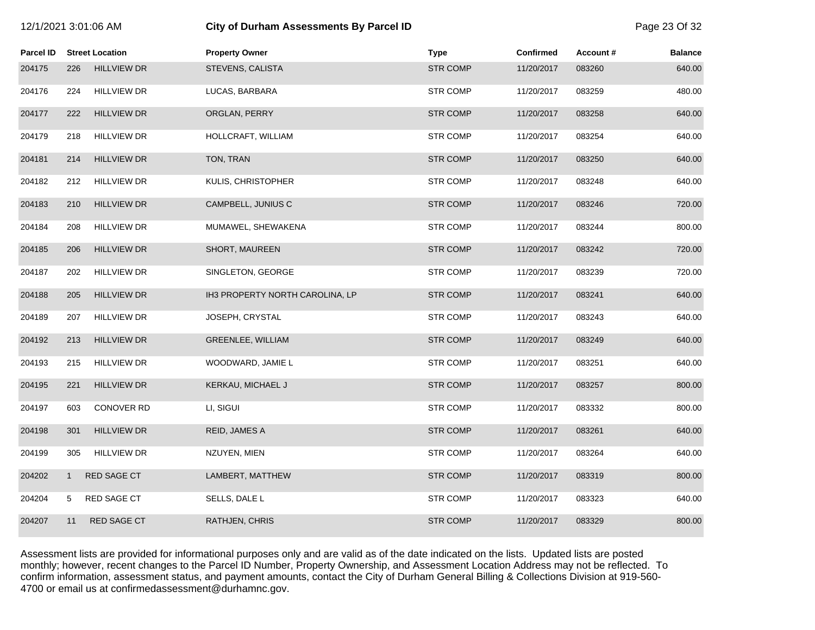| 12/1/2021 3:01:06 AM |              |                        | City of Durham Assessments By Parcel ID |                 |                  |          | Page 23 Of 32  |
|----------------------|--------------|------------------------|-----------------------------------------|-----------------|------------------|----------|----------------|
| <b>Parcel ID</b>     |              | <b>Street Location</b> | <b>Property Owner</b>                   | <b>Type</b>     | <b>Confirmed</b> | Account# | <b>Balance</b> |
| 204175               | 226          | <b>HILLVIEW DR</b>     | STEVENS, CALISTA                        | <b>STR COMP</b> | 11/20/2017       | 083260   | 640.00         |
| 204176               | 224          | <b>HILLVIEW DR</b>     | LUCAS, BARBARA                          | <b>STR COMP</b> | 11/20/2017       | 083259   | 480.00         |
| 204177               | 222          | <b>HILLVIEW DR</b>     | ORGLAN, PERRY                           | STR COMP        | 11/20/2017       | 083258   | 640.00         |
| 204179               | 218          | HILLVIEW DR            | HOLLCRAFT, WILLIAM                      | <b>STR COMP</b> | 11/20/2017       | 083254   | 640.00         |
| 204181               | 214          | <b>HILLVIEW DR</b>     | TON, TRAN                               | <b>STR COMP</b> | 11/20/2017       | 083250   | 640.00         |
| 204182               | 212          | <b>HILLVIEW DR</b>     | KULIS, CHRISTOPHER                      | <b>STR COMP</b> | 11/20/2017       | 083248   | 640.00         |
| 204183               | 210          | <b>HILLVIEW DR</b>     | CAMPBELL, JUNIUS C                      | <b>STR COMP</b> | 11/20/2017       | 083246   | 720.00         |
| 204184               | 208          | <b>HILLVIEW DR</b>     | MUMAWEL, SHEWAKENA                      | <b>STR COMP</b> | 11/20/2017       | 083244   | 800.00         |
| 204185               | 206          | <b>HILLVIEW DR</b>     | SHORT, MAUREEN                          | <b>STR COMP</b> | 11/20/2017       | 083242   | 720.00         |
| 204187               | 202          | <b>HILLVIEW DR</b>     | SINGLETON, GEORGE                       | STR COMP        | 11/20/2017       | 083239   | 720.00         |
| 204188               | 205          | <b>HILLVIEW DR</b>     | IH3 PROPERTY NORTH CAROLINA, LP         | <b>STR COMP</b> | 11/20/2017       | 083241   | 640.00         |
| 204189               | 207          | <b>HILLVIEW DR</b>     | JOSEPH, CRYSTAL                         | <b>STR COMP</b> | 11/20/2017       | 083243   | 640.00         |
| 204192               | 213          | <b>HILLVIEW DR</b>     | GREENLEE, WILLIAM                       | STR COMP        | 11/20/2017       | 083249   | 640.00         |
| 204193               | 215          | <b>HILLVIEW DR</b>     | WOODWARD, JAMIE L                       | <b>STR COMP</b> | 11/20/2017       | 083251   | 640.00         |
| 204195               | 221          | <b>HILLVIEW DR</b>     | KERKAU, MICHAEL J                       | <b>STR COMP</b> | 11/20/2017       | 083257   | 800.00         |
| 204197               | 603          | <b>CONOVER RD</b>      | LI, SIGUI                               | <b>STR COMP</b> | 11/20/2017       | 083332   | 800.00         |
| 204198               | 301          | <b>HILLVIEW DR</b>     | REID, JAMES A                           | <b>STR COMP</b> | 11/20/2017       | 083261   | 640.00         |
| 204199               | 305          | <b>HILLVIEW DR</b>     | NZUYEN, MIEN                            | <b>STR COMP</b> | 11/20/2017       | 083264   | 640.00         |
| 204202               | $\mathbf{1}$ | RED SAGE CT            | LAMBERT, MATTHEW                        | <b>STR COMP</b> | 11/20/2017       | 083319   | 800.00         |
| 204204               | 5            | <b>RED SAGE CT</b>     | SELLS, DALE L                           | <b>STR COMP</b> | 11/20/2017       | 083323   | 640.00         |
| 204207               | 11           | <b>RED SAGE CT</b>     | RATHJEN, CHRIS                          | <b>STR COMP</b> | 11/20/2017       | 083329   | 800.00         |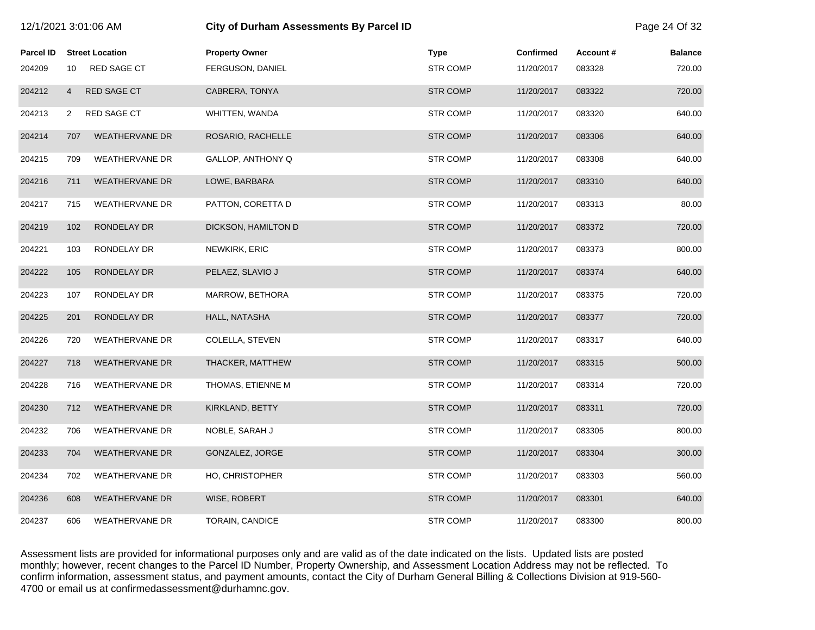| 12/1/2021 3:01:06 AM |                |                        | City of Durham Assessments By Parcel ID |  |                 |                  | Page 24 Of 32 |                |
|----------------------|----------------|------------------------|-----------------------------------------|--|-----------------|------------------|---------------|----------------|
| Parcel ID            |                | <b>Street Location</b> | <b>Property Owner</b>                   |  | <b>Type</b>     | <b>Confirmed</b> | Account#      | <b>Balance</b> |
| 204209               | 10             | <b>RED SAGE CT</b>     | FERGUSON, DANIEL                        |  | <b>STR COMP</b> | 11/20/2017       | 083328        | 720.00         |
| 204212               | $\overline{4}$ | RED SAGE CT            | CABRERA, TONYA                          |  | <b>STR COMP</b> | 11/20/2017       | 083322        | 720.00         |
| 204213               | 2              | <b>RED SAGE CT</b>     | WHITTEN, WANDA                          |  | <b>STR COMP</b> | 11/20/2017       | 083320        | 640.00         |
| 204214               | 707            | <b>WEATHERVANE DR</b>  | ROSARIO, RACHELLE                       |  | <b>STR COMP</b> | 11/20/2017       | 083306        | 640.00         |
| 204215               | 709            | <b>WEATHERVANE DR</b>  | GALLOP, ANTHONY Q                       |  | <b>STR COMP</b> | 11/20/2017       | 083308        | 640.00         |
| 204216               | 711            | WEATHERVANE DR         | LOWE, BARBARA                           |  | <b>STR COMP</b> | 11/20/2017       | 083310        | 640.00         |
| 204217               | 715            | <b>WEATHERVANE DR</b>  | PATTON, CORETTA D                       |  | <b>STR COMP</b> | 11/20/2017       | 083313        | 80.00          |
| 204219               | 102            | RONDELAY DR            | DICKSON, HAMILTON D                     |  | <b>STR COMP</b> | 11/20/2017       | 083372        | 720.00         |
| 204221               | 103            | RONDELAY DR            | NEWKIRK, ERIC                           |  | <b>STR COMP</b> | 11/20/2017       | 083373        | 800.00         |
| 204222               | 105            | RONDELAY DR            | PELAEZ, SLAVIO J                        |  | <b>STR COMP</b> | 11/20/2017       | 083374        | 640.00         |
| 204223               | 107            | RONDELAY DR            | MARROW, BETHORA                         |  | <b>STR COMP</b> | 11/20/2017       | 083375        | 720.00         |
| 204225               | 201            | RONDELAY DR            | HALL, NATASHA                           |  | <b>STR COMP</b> | 11/20/2017       | 083377        | 720.00         |
| 204226               | 720            | <b>WEATHERVANE DR</b>  | COLELLA, STEVEN                         |  | <b>STR COMP</b> | 11/20/2017       | 083317        | 640.00         |
| 204227               | 718            | <b>WEATHERVANE DR</b>  | THACKER, MATTHEW                        |  | <b>STR COMP</b> | 11/20/2017       | 083315        | 500.00         |
| 204228               | 716            | <b>WEATHERVANE DR</b>  | THOMAS, ETIENNE M                       |  | <b>STR COMP</b> | 11/20/2017       | 083314        | 720.00         |
| 204230               | 712            | <b>WEATHERVANE DR</b>  | KIRKLAND, BETTY                         |  | <b>STR COMP</b> | 11/20/2017       | 083311        | 720.00         |
| 204232               | 706            | <b>WEATHERVANE DR</b>  | NOBLE, SARAH J                          |  | <b>STR COMP</b> | 11/20/2017       | 083305        | 800.00         |
| 204233               | 704            | <b>WEATHERVANE DR</b>  | GONZALEZ, JORGE                         |  | <b>STR COMP</b> | 11/20/2017       | 083304        | 300.00         |
| 204234               | 702            | <b>WEATHERVANE DR</b>  | HO, CHRISTOPHER                         |  | <b>STR COMP</b> | 11/20/2017       | 083303        | 560.00         |
| 204236               | 608            | <b>WEATHERVANE DR</b>  | WISE, ROBERT                            |  | <b>STR COMP</b> | 11/20/2017       | 083301        | 640.00         |
| 204237               | 606            | <b>WEATHERVANE DR</b>  | TORAIN, CANDICE                         |  | <b>STR COMP</b> | 11/20/2017       | 083300        | 800.00         |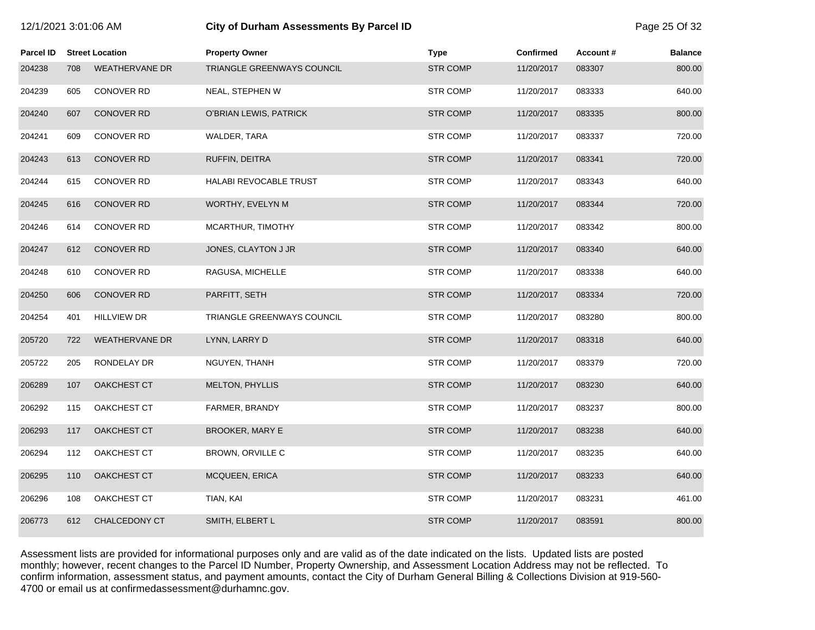| 2/1/2021 3:01:06 AM |  |  |
|---------------------|--|--|
|---------------------|--|--|

## 12/1/2021 3:01:06 AM **City of Durham Assessments By Parcel ID** Page 25 Of 32

| <b>Parcel ID</b> |     | <b>Street Location</b> | <b>Property Owner</b>         | <b>Type</b>     | <b>Confirmed</b> | Account# | <b>Balance</b> |
|------------------|-----|------------------------|-------------------------------|-----------------|------------------|----------|----------------|
| 204238           | 708 | <b>WEATHERVANE DR</b>  | TRIANGLE GREENWAYS COUNCIL    | <b>STR COMP</b> | 11/20/2017       | 083307   | 800.00         |
| 204239           | 605 | <b>CONOVER RD</b>      | NEAL, STEPHEN W               | <b>STR COMP</b> | 11/20/2017       | 083333   | 640.00         |
| 204240           | 607 | <b>CONOVER RD</b>      | O'BRIAN LEWIS, PATRICK        | <b>STR COMP</b> | 11/20/2017       | 083335   | 800.00         |
| 204241           | 609 | CONOVER RD             | WALDER, TARA                  | <b>STR COMP</b> | 11/20/2017       | 083337   | 720.00         |
| 204243           | 613 | <b>CONOVER RD</b>      | RUFFIN, DEITRA                | <b>STR COMP</b> | 11/20/2017       | 083341   | 720.00         |
| 204244           | 615 | CONOVER RD             | <b>HALABI REVOCABLE TRUST</b> | <b>STR COMP</b> | 11/20/2017       | 083343   | 640.00         |
| 204245           | 616 | <b>CONOVER RD</b>      | WORTHY, EVELYN M              | <b>STR COMP</b> | 11/20/2017       | 083344   | 720.00         |
| 204246           | 614 | CONOVER RD             | MCARTHUR, TIMOTHY             | <b>STR COMP</b> | 11/20/2017       | 083342   | 800.00         |
| 204247           | 612 | <b>CONOVER RD</b>      | JONES, CLAYTON J JR           | <b>STR COMP</b> | 11/20/2017       | 083340   | 640.00         |
| 204248           | 610 | CONOVER RD             | RAGUSA, MICHELLE              | STR COMP        | 11/20/2017       | 083338   | 640.00         |
| 204250           | 606 | <b>CONOVER RD</b>      | PARFITT, SETH                 | <b>STR COMP</b> | 11/20/2017       | 083334   | 720.00         |
| 204254           | 401 | <b>HILLVIEW DR</b>     | TRIANGLE GREENWAYS COUNCIL    | <b>STR COMP</b> | 11/20/2017       | 083280   | 800.00         |
| 205720           | 722 | <b>WEATHERVANE DR</b>  | LYNN, LARRY D                 | <b>STR COMP</b> | 11/20/2017       | 083318   | 640.00         |
| 205722           | 205 | RONDELAY DR            | NGUYEN, THANH                 | <b>STR COMP</b> | 11/20/2017       | 083379   | 720.00         |
| 206289           | 107 | OAKCHEST CT            | MELTON, PHYLLIS               | <b>STR COMP</b> | 11/20/2017       | 083230   | 640.00         |
| 206292           | 115 | OAKCHEST CT            | FARMER, BRANDY                | <b>STR COMP</b> | 11/20/2017       | 083237   | 800.00         |
| 206293           | 117 | OAKCHEST CT            | <b>BROOKER, MARY E</b>        | <b>STR COMP</b> | 11/20/2017       | 083238   | 640.00         |
| 206294           | 112 | OAKCHEST CT            | BROWN, ORVILLE C              | <b>STR COMP</b> | 11/20/2017       | 083235   | 640.00         |
| 206295           | 110 | OAKCHEST CT            | MCQUEEN, ERICA                | <b>STR COMP</b> | 11/20/2017       | 083233   | 640.00         |
| 206296           | 108 | OAKCHEST CT            | TIAN, KAI                     | <b>STR COMP</b> | 11/20/2017       | 083231   | 461.00         |
| 206773           | 612 | <b>CHALCEDONY CT</b>   | SMITH, ELBERT L               | <b>STR COMP</b> | 11/20/2017       | 083591   | 800.00         |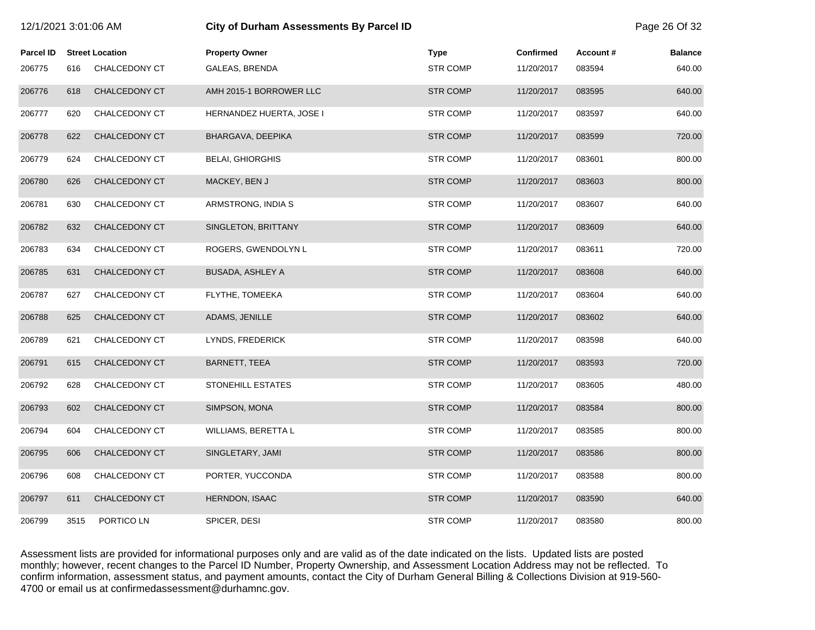| 12/1/2021 3:01:06 AM |      |                        | <b>City of Durham Assessments By Parcel ID</b> |                 |                  |          | Page 26 Of 32  |
|----------------------|------|------------------------|------------------------------------------------|-----------------|------------------|----------|----------------|
| <b>Parcel ID</b>     |      | <b>Street Location</b> | <b>Property Owner</b>                          | <b>Type</b>     | <b>Confirmed</b> | Account# | <b>Balance</b> |
| 206775               | 616  | CHALCEDONY CT          | GALEAS, BRENDA                                 | <b>STR COMP</b> | 11/20/2017       | 083594   | 640.00         |
| 206776               | 618  | CHALCEDONY CT          | AMH 2015-1 BORROWER LLC                        | <b>STR COMP</b> | 11/20/2017       | 083595   | 640.00         |
| 206777               | 620  | CHALCEDONY CT          | HERNANDEZ HUERTA, JOSE I                       | <b>STR COMP</b> | 11/20/2017       | 083597   | 640.00         |
| 206778               | 622  | CHALCEDONY CT          | BHARGAVA, DEEPIKA                              | <b>STR COMP</b> | 11/20/2017       | 083599   | 720.00         |
| 206779               | 624  | CHALCEDONY CT          | <b>BELAI, GHIORGHIS</b>                        | <b>STR COMP</b> | 11/20/2017       | 083601   | 800.00         |
| 206780               | 626  | CHALCEDONY CT          | MACKEY, BEN J                                  | <b>STR COMP</b> | 11/20/2017       | 083603   | 800.00         |
| 206781               | 630  | CHALCEDONY CT          | ARMSTRONG, INDIA S                             | <b>STR COMP</b> | 11/20/2017       | 083607   | 640.00         |
| 206782               | 632  | CHALCEDONY CT          | SINGLETON, BRITTANY                            | <b>STR COMP</b> | 11/20/2017       | 083609   | 640.00         |
| 206783               | 634  | CHALCEDONY CT          | ROGERS, GWENDOLYN L                            | <b>STR COMP</b> | 11/20/2017       | 083611   | 720.00         |
| 206785               | 631  | CHALCEDONY CT          | <b>BUSADA, ASHLEY A</b>                        | <b>STR COMP</b> | 11/20/2017       | 083608   | 640.00         |
| 206787               | 627  | CHALCEDONY CT          | FLYTHE, TOMEEKA                                | <b>STR COMP</b> | 11/20/2017       | 083604   | 640.00         |
| 206788               | 625  | CHALCEDONY CT          | ADAMS, JENILLE                                 | <b>STR COMP</b> | 11/20/2017       | 083602   | 640.00         |
| 206789               | 621  | CHALCEDONY CT          | LYNDS, FREDERICK                               | <b>STR COMP</b> | 11/20/2017       | 083598   | 640.00         |
| 206791               | 615  | CHALCEDONY CT          | <b>BARNETT, TEEA</b>                           | <b>STR COMP</b> | 11/20/2017       | 083593   | 720.00         |
| 206792               | 628  | CHALCEDONY CT          | <b>STONEHILL ESTATES</b>                       | <b>STR COMP</b> | 11/20/2017       | 083605   | 480.00         |
| 206793               | 602  | CHALCEDONY CT          | SIMPSON, MONA                                  | <b>STR COMP</b> | 11/20/2017       | 083584   | 800.00         |
| 206794               | 604  | CHALCEDONY CT          | WILLIAMS, BERETTA L                            | <b>STR COMP</b> | 11/20/2017       | 083585   | 800.00         |
| 206795               | 606  | CHALCEDONY CT          | SINGLETARY, JAMI                               | <b>STR COMP</b> | 11/20/2017       | 083586   | 800.00         |
| 206796               | 608  | CHALCEDONY CT          | PORTER, YUCCONDA                               | <b>STR COMP</b> | 11/20/2017       | 083588   | 800.00         |
| 206797               | 611  | CHALCEDONY CT          | <b>HERNDON, ISAAC</b>                          | <b>STR COMP</b> | 11/20/2017       | 083590   | 640.00         |
| 206799               | 3515 | PORTICO LN             | SPICER, DESI                                   | <b>STR COMP</b> | 11/20/2017       | 083580   | 800.00         |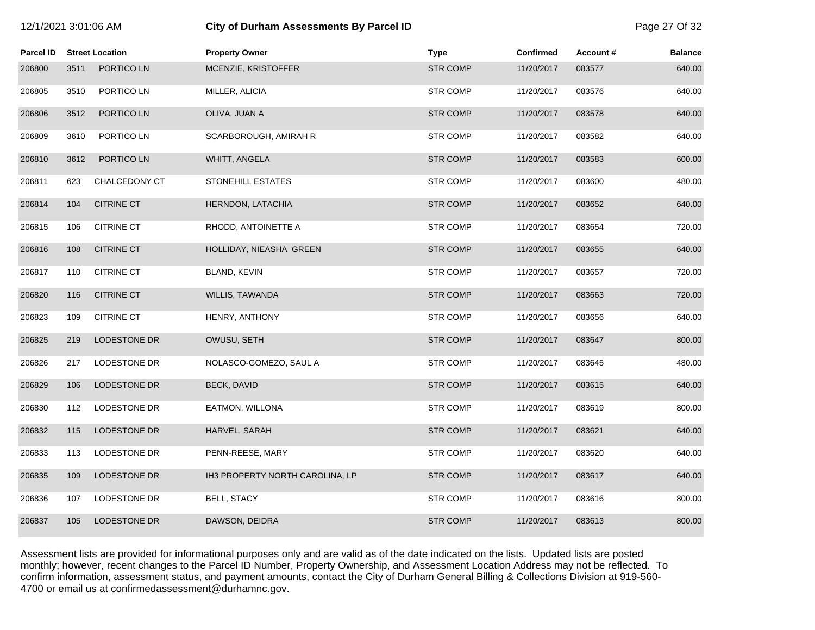|  |  |  | 12/1/2021 3:01:06 AM |  |
|--|--|--|----------------------|--|
|--|--|--|----------------------|--|

# **12/21/2021 3:01:00 City of Durham Assessments By Parcel ID** Page 27 Of 32

| <b>Parcel ID</b> |      | <b>Street Location</b> | <b>Property Owner</b>           | <b>Type</b>     | <b>Confirmed</b> | Account# | <b>Balance</b> |
|------------------|------|------------------------|---------------------------------|-----------------|------------------|----------|----------------|
| 206800           | 3511 | PORTICO LN             | MCENZIE, KRISTOFFER             | <b>STR COMP</b> | 11/20/2017       | 083577   | 640.00         |
| 206805           | 3510 | PORTICO LN             | MILLER, ALICIA                  | <b>STR COMP</b> | 11/20/2017       | 083576   | 640.00         |
| 206806           | 3512 | PORTICO LN             | OLIVA, JUAN A                   | <b>STR COMP</b> | 11/20/2017       | 083578   | 640.00         |
| 206809           | 3610 | PORTICO LN             | SCARBOROUGH, AMIRAH R           | <b>STR COMP</b> | 11/20/2017       | 083582   | 640.00         |
| 206810           | 3612 | PORTICO LN             | WHITT, ANGELA                   | <b>STR COMP</b> | 11/20/2017       | 083583   | 600.00         |
| 206811           | 623  | <b>CHALCEDONY CT</b>   | STONEHILL ESTATES               | <b>STR COMP</b> | 11/20/2017       | 083600   | 480.00         |
| 206814           | 104  | <b>CITRINE CT</b>      | HERNDON, LATACHIA               | <b>STR COMP</b> | 11/20/2017       | 083652   | 640.00         |
| 206815           | 106  | <b>CITRINE CT</b>      | RHODD, ANTOINETTE A             | <b>STR COMP</b> | 11/20/2017       | 083654   | 720.00         |
| 206816           | 108  | <b>CITRINE CT</b>      | HOLLIDAY, NIEASHA GREEN         | <b>STR COMP</b> | 11/20/2017       | 083655   | 640.00         |
| 206817           | 110  | <b>CITRINE CT</b>      | BLAND, KEVIN                    | <b>STR COMP</b> | 11/20/2017       | 083657   | 720.00         |
| 206820           | 116  | <b>CITRINE CT</b>      | WILLIS, TAWANDA                 | <b>STR COMP</b> | 11/20/2017       | 083663   | 720.00         |
| 206823           | 109  | <b>CITRINE CT</b>      | HENRY, ANTHONY                  | <b>STR COMP</b> | 11/20/2017       | 083656   | 640.00         |
| 206825           | 219  | LODESTONE DR           | OWUSU, SETH                     | <b>STR COMP</b> | 11/20/2017       | 083647   | 800.00         |
| 206826           | 217  | LODESTONE DR           | NOLASCO-GOMEZO, SAUL A          | <b>STR COMP</b> | 11/20/2017       | 083645   | 480.00         |
| 206829           | 106  | LODESTONE DR           | <b>BECK, DAVID</b>              | <b>STR COMP</b> | 11/20/2017       | 083615   | 640.00         |
| 206830           | 112  | LODESTONE DR           | EATMON, WILLONA                 | <b>STR COMP</b> | 11/20/2017       | 083619   | 800.00         |
| 206832           | 115  | <b>LODESTONE DR</b>    | HARVEL, SARAH                   | <b>STR COMP</b> | 11/20/2017       | 083621   | 640.00         |
| 206833           | 113  | LODESTONE DR           | PENN-REESE, MARY                | <b>STR COMP</b> | 11/20/2017       | 083620   | 640.00         |
| 206835           | 109  | LODESTONE DR           | IH3 PROPERTY NORTH CAROLINA, LP | <b>STR COMP</b> | 11/20/2017       | 083617   | 640.00         |
| 206836           | 107  | LODESTONE DR           | <b>BELL, STACY</b>              | <b>STR COMP</b> | 11/20/2017       | 083616   | 800.00         |
| 206837           | 105  | <b>LODESTONE DR</b>    | DAWSON, DEIDRA                  | <b>STR COMP</b> | 11/20/2017       | 083613   | 800.00         |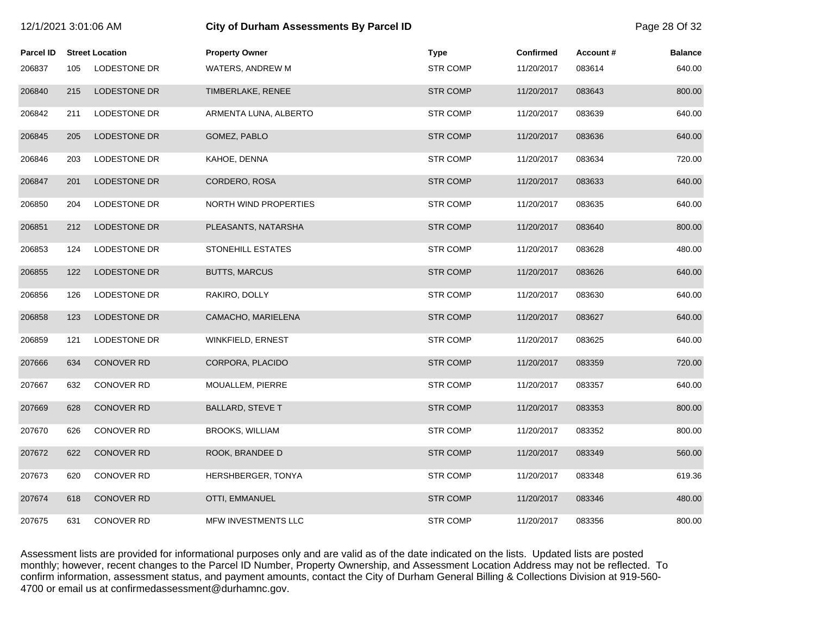| 12/1/2021 3:01:06 AM |     |                        | <b>City of Durham Assessments By Parcel ID</b> |                 |                  |          |                |
|----------------------|-----|------------------------|------------------------------------------------|-----------------|------------------|----------|----------------|
| <b>Parcel ID</b>     |     | <b>Street Location</b> | <b>Property Owner</b>                          | <b>Type</b>     | <b>Confirmed</b> | Account# | <b>Balance</b> |
| 206837               | 105 | LODESTONE DR           | WATERS, ANDREW M                               | <b>STR COMP</b> | 11/20/2017       | 083614   | 640.00         |
| 206840               | 215 | LODESTONE DR           | TIMBERLAKE, RENEE                              | <b>STR COMP</b> | 11/20/2017       | 083643   | 800.00         |
| 206842               | 211 | <b>LODESTONE DR</b>    | ARMENTA LUNA, ALBERTO                          | <b>STR COMP</b> | 11/20/2017       | 083639   | 640.00         |
| 206845               | 205 | LODESTONE DR           | GOMEZ, PABLO                                   | <b>STR COMP</b> | 11/20/2017       | 083636   | 640.00         |
| 206846               | 203 | LODESTONE DR           | KAHOE, DENNA                                   | <b>STR COMP</b> | 11/20/2017       | 083634   | 720.00         |
| 206847               | 201 | <b>LODESTONE DR</b>    | CORDERO, ROSA                                  | <b>STR COMP</b> | 11/20/2017       | 083633   | 640.00         |
| 206850               | 204 | LODESTONE DR           | NORTH WIND PROPERTIES                          | <b>STR COMP</b> | 11/20/2017       | 083635   | 640.00         |
| 206851               | 212 | <b>LODESTONE DR</b>    | PLEASANTS, NATARSHA                            | <b>STR COMP</b> | 11/20/2017       | 083640   | 800.00         |
| 206853               | 124 | <b>LODESTONE DR</b>    | <b>STONEHILL ESTATES</b>                       | <b>STR COMP</b> | 11/20/2017       | 083628   | 480.00         |
| 206855               | 122 | LODESTONE DR           | <b>BUTTS, MARCUS</b>                           | <b>STR COMP</b> | 11/20/2017       | 083626   | 640.00         |
| 206856               | 126 | LODESTONE DR           | RAKIRO, DOLLY                                  | <b>STR COMP</b> | 11/20/2017       | 083630   | 640.00         |
| 206858               | 123 | <b>LODESTONE DR</b>    | CAMACHO, MARIELENA                             | <b>STR COMP</b> | 11/20/2017       | 083627   | 640.00         |
| 206859               | 121 | LODESTONE DR           | WINKFIELD, ERNEST                              | <b>STR COMP</b> | 11/20/2017       | 083625   | 640.00         |
| 207666               | 634 | <b>CONOVER RD</b>      | CORPORA, PLACIDO                               | <b>STR COMP</b> | 11/20/2017       | 083359   | 720.00         |
| 207667               | 632 | <b>CONOVER RD</b>      | MOUALLEM, PIERRE                               | <b>STR COMP</b> | 11/20/2017       | 083357   | 640.00         |
| 207669               | 628 | CONOVER RD             | <b>BALLARD, STEVE T</b>                        | <b>STR COMP</b> | 11/20/2017       | 083353   | 800.00         |
| 207670               | 626 | <b>CONOVER RD</b>      | <b>BROOKS, WILLIAM</b>                         | <b>STR COMP</b> | 11/20/2017       | 083352   | 800.00         |
| 207672               | 622 | <b>CONOVER RD</b>      | ROOK, BRANDEE D                                | <b>STR COMP</b> | 11/20/2017       | 083349   | 560.00         |
| 207673               | 620 | CONOVER RD             | HERSHBERGER, TONYA                             | <b>STR COMP</b> | 11/20/2017       | 083348   | 619.36         |
| 207674               | 618 | <b>CONOVER RD</b>      | OTTI, EMMANUEL                                 | <b>STR COMP</b> | 11/20/2017       | 083346   | 480.00         |
| 207675               | 631 | <b>CONOVER RD</b>      | MFW INVESTMENTS LLC                            | <b>STR COMP</b> | 11/20/2017       | 083356   | 800.00         |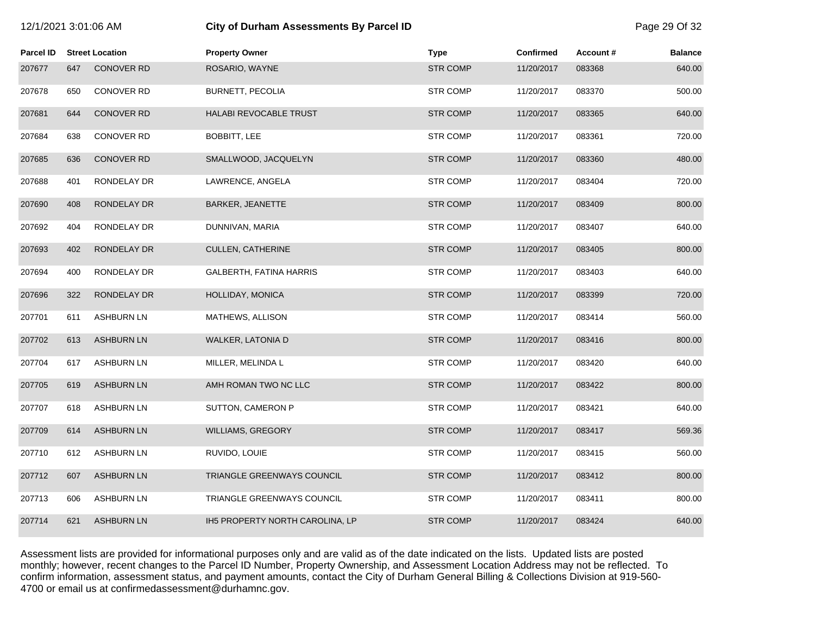| I2/1/2021 3:01:06 AM |  |
|----------------------|--|
|                      |  |

## 12/1/2021 3:01:06 AM **City of Durham Assessments By Parcel ID** Page 29 Of 32

| <b>Parcel ID</b> |     | <b>Street Location</b> | <b>Property Owner</b>           | <b>Type</b>     | <b>Confirmed</b> | Account# | <b>Balance</b> |
|------------------|-----|------------------------|---------------------------------|-----------------|------------------|----------|----------------|
| 207677           | 647 | <b>CONOVER RD</b>      | ROSARIO, WAYNE                  | <b>STR COMP</b> | 11/20/2017       | 083368   | 640.00         |
| 207678           | 650 | CONOVER RD             | <b>BURNETT, PECOLIA</b>         | <b>STR COMP</b> | 11/20/2017       | 083370   | 500.00         |
| 207681           | 644 | <b>CONOVER RD</b>      | <b>HALABI REVOCABLE TRUST</b>   | <b>STR COMP</b> | 11/20/2017       | 083365   | 640.00         |
| 207684           | 638 | <b>CONOVER RD</b>      | <b>BOBBITT, LEE</b>             | <b>STR COMP</b> | 11/20/2017       | 083361   | 720.00         |
| 207685           | 636 | <b>CONOVER RD</b>      | SMALLWOOD, JACQUELYN            | <b>STR COMP</b> | 11/20/2017       | 083360   | 480.00         |
| 207688           | 401 | RONDELAY DR            | LAWRENCE, ANGELA                | <b>STR COMP</b> | 11/20/2017       | 083404   | 720.00         |
| 207690           | 408 | RONDELAY DR            | <b>BARKER, JEANETTE</b>         | <b>STR COMP</b> | 11/20/2017       | 083409   | 800.00         |
| 207692           | 404 | RONDELAY DR            | DUNNIVAN, MARIA                 | <b>STR COMP</b> | 11/20/2017       | 083407   | 640.00         |
| 207693           | 402 | RONDELAY DR            | CULLEN, CATHERINE               | <b>STR COMP</b> | 11/20/2017       | 083405   | 800.00         |
| 207694           | 400 | RONDELAY DR            | GALBERTH, FATINA HARRIS         | <b>STR COMP</b> | 11/20/2017       | 083403   | 640.00         |
| 207696           | 322 | RONDELAY DR            | HOLLIDAY, MONICA                | <b>STR COMP</b> | 11/20/2017       | 083399   | 720.00         |
| 207701           | 611 | <b>ASHBURN LN</b>      | MATHEWS, ALLISON                | <b>STR COMP</b> | 11/20/2017       | 083414   | 560.00         |
| 207702           | 613 | <b>ASHBURN LN</b>      | WALKER, LATONIA D               | <b>STR COMP</b> | 11/20/2017       | 083416   | 800.00         |
| 207704           | 617 | <b>ASHBURN LN</b>      | MILLER, MELINDA L               | <b>STR COMP</b> | 11/20/2017       | 083420   | 640.00         |
| 207705           | 619 | <b>ASHBURN LN</b>      | AMH ROMAN TWO NC LLC            | <b>STR COMP</b> | 11/20/2017       | 083422   | 800.00         |
| 207707           | 618 | <b>ASHBURN LN</b>      | SUTTON, CAMERON P               | <b>STR COMP</b> | 11/20/2017       | 083421   | 640.00         |
| 207709           | 614 | <b>ASHBURN LN</b>      | WILLIAMS, GREGORY               | <b>STR COMP</b> | 11/20/2017       | 083417   | 569.36         |
| 207710           | 612 | <b>ASHBURN LN</b>      | RUVIDO, LOUIE                   | <b>STR COMP</b> | 11/20/2017       | 083415   | 560.00         |
| 207712           | 607 | <b>ASHBURN LN</b>      | TRIANGLE GREENWAYS COUNCIL      | <b>STR COMP</b> | 11/20/2017       | 083412   | 800.00         |
| 207713           | 606 | <b>ASHBURN LN</b>      | TRIANGLE GREENWAYS COUNCIL      | <b>STR COMP</b> | 11/20/2017       | 083411   | 800.00         |
| 207714           | 621 | <b>ASHBURN LN</b>      | IH5 PROPERTY NORTH CAROLINA, LP | <b>STR COMP</b> | 11/20/2017       | 083424   | 640.00         |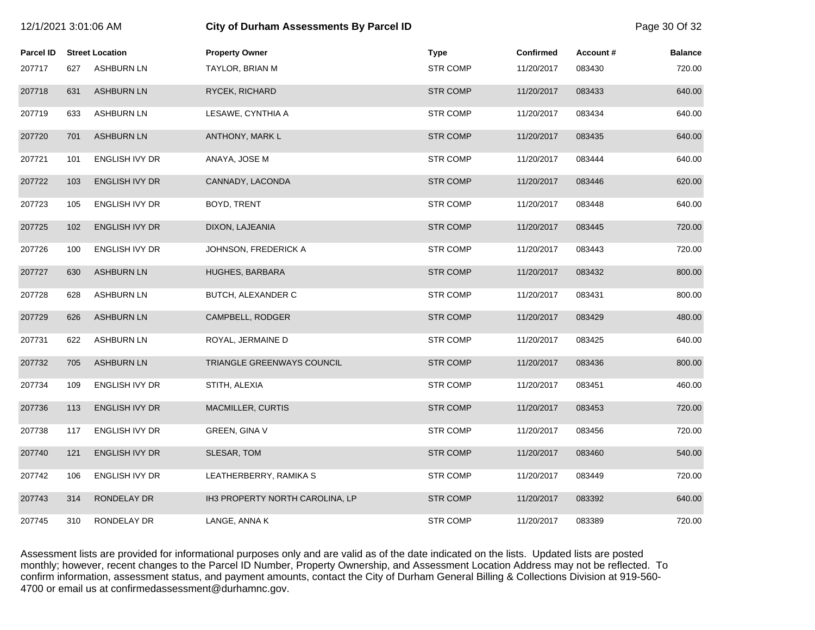| 12/1/2021 3:01:06 AM |     |                        | City of Durham Assessments By Parcel ID |                 |                  |                  | Page 30 Of 32  |
|----------------------|-----|------------------------|-----------------------------------------|-----------------|------------------|------------------|----------------|
| <b>Parcel ID</b>     |     | <b>Street Location</b> | <b>Property Owner</b>                   | <b>Type</b>     | <b>Confirmed</b> | <b>Account #</b> | <b>Balance</b> |
| 207717               | 627 | <b>ASHBURN LN</b>      | TAYLOR, BRIAN M                         | <b>STR COMP</b> | 11/20/2017       | 083430           | 720.00         |
| 207718               | 631 | <b>ASHBURN LN</b>      | RYCEK, RICHARD                          | <b>STR COMP</b> | 11/20/2017       | 083433           | 640.00         |
| 207719               | 633 | <b>ASHBURN LN</b>      | LESAWE, CYNTHIA A                       | <b>STR COMP</b> | 11/20/2017       | 083434           | 640.00         |
| 207720               | 701 | <b>ASHBURN LN</b>      | ANTHONY, MARK L                         | <b>STR COMP</b> | 11/20/2017       | 083435           | 640.00         |
| 207721               | 101 | ENGLISH IVY DR         | ANAYA, JOSE M                           | <b>STR COMP</b> | 11/20/2017       | 083444           | 640.00         |
| 207722               | 103 | ENGLISH IVY DR         | CANNADY, LACONDA                        | <b>STR COMP</b> | 11/20/2017       | 083446           | 620.00         |
| 207723               | 105 | <b>ENGLISH IVY DR</b>  | BOYD, TRENT                             | <b>STR COMP</b> | 11/20/2017       | 083448           | 640.00         |
| 207725               | 102 | <b>ENGLISH IVY DR</b>  | DIXON, LAJEANIA                         | <b>STR COMP</b> | 11/20/2017       | 083445           | 720.00         |
| 207726               | 100 | <b>ENGLISH IVY DR</b>  | JOHNSON, FREDERICK A                    | <b>STR COMP</b> | 11/20/2017       | 083443           | 720.00         |
| 207727               | 630 | <b>ASHBURN LN</b>      | HUGHES, BARBARA                         | <b>STR COMP</b> | 11/20/2017       | 083432           | 800.00         |
| 207728               | 628 | <b>ASHBURN LN</b>      | BUTCH, ALEXANDER C                      | <b>STR COMP</b> | 11/20/2017       | 083431           | 800.00         |
| 207729               | 626 | <b>ASHBURN LN</b>      | CAMPBELL, RODGER                        | <b>STR COMP</b> | 11/20/2017       | 083429           | 480.00         |
| 207731               | 622 | <b>ASHBURN LN</b>      | ROYAL, JERMAINE D                       | <b>STR COMP</b> | 11/20/2017       | 083425           | 640.00         |
| 207732               | 705 | <b>ASHBURN LN</b>      | TRIANGLE GREENWAYS COUNCIL              | <b>STR COMP</b> | 11/20/2017       | 083436           | 800.00         |
| 207734               | 109 | ENGLISH IVY DR         | STITH, ALEXIA                           | <b>STR COMP</b> | 11/20/2017       | 083451           | 460.00         |
| 207736               | 113 | ENGLISH IVY DR         | MACMILLER, CURTIS                       | <b>STR COMP</b> | 11/20/2017       | 083453           | 720.00         |
| 207738               | 117 | ENGLISH IVY DR         | <b>GREEN, GINA V</b>                    | <b>STR COMP</b> | 11/20/2017       | 083456           | 720.00         |
| 207740               | 121 | <b>ENGLISH IVY DR</b>  | SLESAR, TOM                             | <b>STR COMP</b> | 11/20/2017       | 083460           | 540.00         |
| 207742               | 106 | ENGLISH IVY DR         | LEATHERBERRY, RAMIKA S                  | <b>STR COMP</b> | 11/20/2017       | 083449           | 720.00         |
| 207743               | 314 | RONDELAY DR            | IH3 PROPERTY NORTH CAROLINA, LP         | <b>STR COMP</b> | 11/20/2017       | 083392           | 640.00         |
| 207745               | 310 | RONDELAY DR            | LANGE, ANNA K                           | <b>STR COMP</b> | 11/20/2017       | 083389           | 720.00         |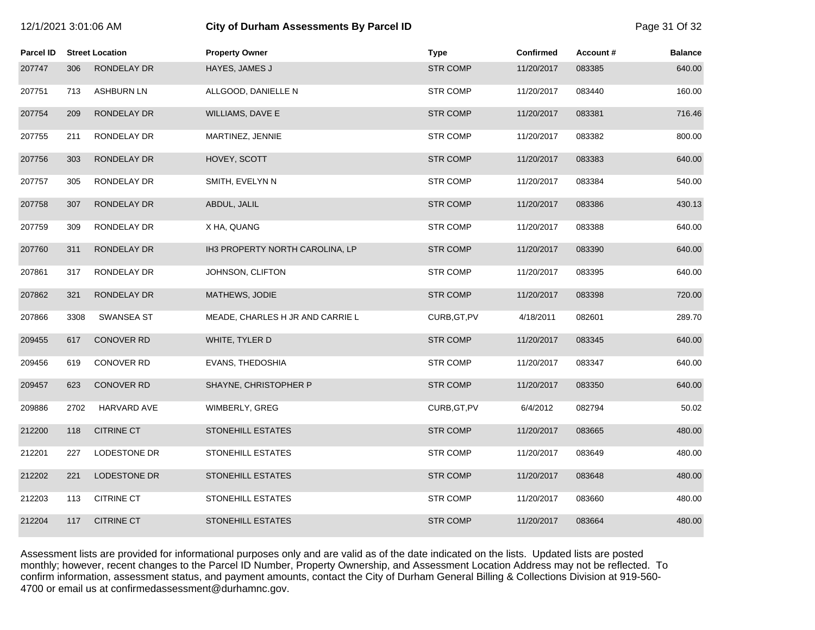| 12/1/2021 3:01:06 AM |      |                        | City of Durham Assessments By Parcel ID | Page 31 Of 32   |                  |          |                |
|----------------------|------|------------------------|-----------------------------------------|-----------------|------------------|----------|----------------|
| <b>Parcel ID</b>     |      | <b>Street Location</b> | <b>Property Owner</b>                   | <b>Type</b>     | <b>Confirmed</b> | Account# | <b>Balance</b> |
| 207747               | 306  | RONDELAY DR            | HAYES, JAMES J                          | <b>STR COMP</b> | 11/20/2017       | 083385   | 640.00         |
| 207751               | 713  | <b>ASHBURN LN</b>      | ALLGOOD, DANIELLE N                     | <b>STR COMP</b> | 11/20/2017       | 083440   | 160.00         |
| 207754               | 209  | RONDELAY DR            | WILLIAMS, DAVE E                        | <b>STR COMP</b> | 11/20/2017       | 083381   | 716.46         |
| 207755               | 211  | RONDELAY DR            | MARTINEZ, JENNIE                        | <b>STR COMP</b> | 11/20/2017       | 083382   | 800.00         |
| 207756               | 303  | RONDELAY DR            | HOVEY, SCOTT                            | <b>STR COMP</b> | 11/20/2017       | 083383   | 640.00         |
| 207757               | 305  | RONDELAY DR            | SMITH, EVELYN N                         | <b>STR COMP</b> | 11/20/2017       | 083384   | 540.00         |
| 207758               | 307  | RONDELAY DR            | ABDUL, JALIL                            | <b>STR COMP</b> | 11/20/2017       | 083386   | 430.13         |
| 207759               | 309  | RONDELAY DR            | X HA, QUANG                             | <b>STR COMP</b> | 11/20/2017       | 083388   | 640.00         |
| 207760               | 311  | RONDELAY DR            | IH3 PROPERTY NORTH CAROLINA, LP         | <b>STR COMP</b> | 11/20/2017       | 083390   | 640.00         |
| 207861               | 317  | RONDELAY DR            | JOHNSON, CLIFTON                        | <b>STR COMP</b> | 11/20/2017       | 083395   | 640.00         |
| 207862               | 321  | RONDELAY DR            | MATHEWS, JODIE                          | <b>STR COMP</b> | 11/20/2017       | 083398   | 720.00         |
| 207866               | 3308 | <b>SWANSEA ST</b>      | MEADE, CHARLES H JR AND CARRIE L        | CURB, GT, PV    | 4/18/2011        | 082601   | 289.70         |
| 209455               | 617  | <b>CONOVER RD</b>      | WHITE, TYLER D                          | <b>STR COMP</b> | 11/20/2017       | 083345   | 640.00         |
| 209456               | 619  | CONOVER RD             | EVANS, THEDOSHIA                        | <b>STR COMP</b> | 11/20/2017       | 083347   | 640.00         |
| 209457               | 623  | <b>CONOVER RD</b>      | SHAYNE, CHRISTOPHER P                   | <b>STR COMP</b> | 11/20/2017       | 083350   | 640.00         |
| 209886               | 2702 | <b>HARVARD AVE</b>     | WIMBERLY, GREG                          | CURB, GT, PV    | 6/4/2012         | 082794   | 50.02          |
| 212200               | 118  | <b>CITRINE CT</b>      | <b>STONEHILL ESTATES</b>                | <b>STR COMP</b> | 11/20/2017       | 083665   | 480.00         |
| 212201               | 227  | LODESTONE DR           | STONEHILL ESTATES                       | <b>STR COMP</b> | 11/20/2017       | 083649   | 480.00         |
| 212202               | 221  | LODESTONE DR           | <b>STONEHILL ESTATES</b>                | <b>STR COMP</b> | 11/20/2017       | 083648   | 480.00         |
| 212203               | 113  | <b>CITRINE CT</b>      | STONEHILL ESTATES                       | <b>STR COMP</b> | 11/20/2017       | 083660   | 480.00         |
| 212204               | 117  | <b>CITRINE CT</b>      | <b>STONEHILL ESTATES</b>                | <b>STR COMP</b> | 11/20/2017       | 083664   | 480.00         |